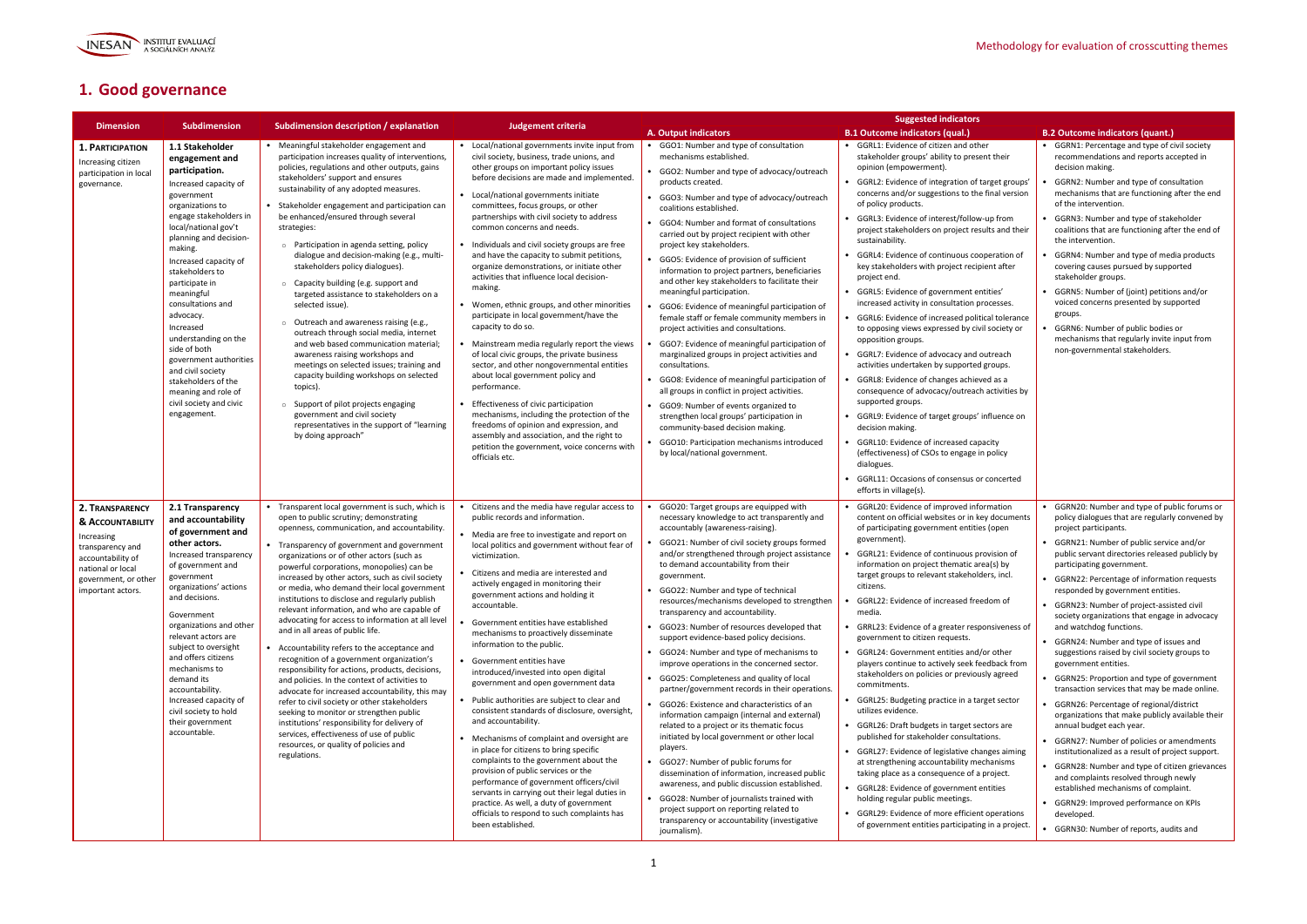

## **1. Good governance**

|                                                                                                                                                             | <b>Subdimension</b>                                                                                                                                                                                                                                                                                                                                                                                                                                                                                             |                                                                                                                                                                                                                                                                                                                                                                                                                                                                                                                                                                                                                                                                                                                                                                                                                                                                                                                                                                                                                                                                                      |                                                                                                                                                                                                                                                                                                                                                                                                                                                                                                                                                                                                                                                                                                                                                                                                                                                                                                                                                                                                                                                                                                                      |                                                                                                                                                                                                                                                                                                                                                                                                                                                                                                                                                                                                                                                                                                                                                                                                                                                                                                                                                                                                                                                                                                                                                                                                                     | <b>Suggested indicators</b>                                                                                                                                                                                                                                                                                                                                                                                                                                                                                                                                                                                                                                                                                                                                                                                                                                                                                                                                                                                                                                                                                                                                                          |                                                                                                                                                                                                                                                                                                                                                                                                                                                                                                                                                                                                                                                                                                                                                                                                                                                                                                                                                                                                                                                                                                                                                        |
|-------------------------------------------------------------------------------------------------------------------------------------------------------------|-----------------------------------------------------------------------------------------------------------------------------------------------------------------------------------------------------------------------------------------------------------------------------------------------------------------------------------------------------------------------------------------------------------------------------------------------------------------------------------------------------------------|--------------------------------------------------------------------------------------------------------------------------------------------------------------------------------------------------------------------------------------------------------------------------------------------------------------------------------------------------------------------------------------------------------------------------------------------------------------------------------------------------------------------------------------------------------------------------------------------------------------------------------------------------------------------------------------------------------------------------------------------------------------------------------------------------------------------------------------------------------------------------------------------------------------------------------------------------------------------------------------------------------------------------------------------------------------------------------------|----------------------------------------------------------------------------------------------------------------------------------------------------------------------------------------------------------------------------------------------------------------------------------------------------------------------------------------------------------------------------------------------------------------------------------------------------------------------------------------------------------------------------------------------------------------------------------------------------------------------------------------------------------------------------------------------------------------------------------------------------------------------------------------------------------------------------------------------------------------------------------------------------------------------------------------------------------------------------------------------------------------------------------------------------------------------------------------------------------------------|---------------------------------------------------------------------------------------------------------------------------------------------------------------------------------------------------------------------------------------------------------------------------------------------------------------------------------------------------------------------------------------------------------------------------------------------------------------------------------------------------------------------------------------------------------------------------------------------------------------------------------------------------------------------------------------------------------------------------------------------------------------------------------------------------------------------------------------------------------------------------------------------------------------------------------------------------------------------------------------------------------------------------------------------------------------------------------------------------------------------------------------------------------------------------------------------------------------------|--------------------------------------------------------------------------------------------------------------------------------------------------------------------------------------------------------------------------------------------------------------------------------------------------------------------------------------------------------------------------------------------------------------------------------------------------------------------------------------------------------------------------------------------------------------------------------------------------------------------------------------------------------------------------------------------------------------------------------------------------------------------------------------------------------------------------------------------------------------------------------------------------------------------------------------------------------------------------------------------------------------------------------------------------------------------------------------------------------------------------------------------------------------------------------------|--------------------------------------------------------------------------------------------------------------------------------------------------------------------------------------------------------------------------------------------------------------------------------------------------------------------------------------------------------------------------------------------------------------------------------------------------------------------------------------------------------------------------------------------------------------------------------------------------------------------------------------------------------------------------------------------------------------------------------------------------------------------------------------------------------------------------------------------------------------------------------------------------------------------------------------------------------------------------------------------------------------------------------------------------------------------------------------------------------------------------------------------------------|
| <b>Dimension</b>                                                                                                                                            |                                                                                                                                                                                                                                                                                                                                                                                                                                                                                                                 | Subdimension description / explanation                                                                                                                                                                                                                                                                                                                                                                                                                                                                                                                                                                                                                                                                                                                                                                                                                                                                                                                                                                                                                                               | <b>Judgement criteria</b>                                                                                                                                                                                                                                                                                                                                                                                                                                                                                                                                                                                                                                                                                                                                                                                                                                                                                                                                                                                                                                                                                            | A. Output indicators                                                                                                                                                                                                                                                                                                                                                                                                                                                                                                                                                                                                                                                                                                                                                                                                                                                                                                                                                                                                                                                                                                                                                                                                | <b>B.1 Outcome indicators (qual.)</b>                                                                                                                                                                                                                                                                                                                                                                                                                                                                                                                                                                                                                                                                                                                                                                                                                                                                                                                                                                                                                                                                                                                                                | <b>B.2 Outcome indicators (quant.)</b>                                                                                                                                                                                                                                                                                                                                                                                                                                                                                                                                                                                                                                                                                                                                                                                                                                                                                                                                                                                                                                                                                                                 |
| 1. PARTICIPATION<br>Increasing citizen<br>participation in local<br>governance.                                                                             | 1.1 Stakeholder<br>engagement and<br>participation.<br>Increased capacity of<br>government<br>organizations to<br>engage stakeholders in<br>local/national gov't<br>planning and decision-<br>making.<br>Increased capacity of<br>stakeholders to<br>participate in<br>meaningful<br>consultations and<br>advocacy.<br>Increased<br>understanding on the<br>side of both<br>government authorities<br>and civil society<br>stakeholders of the<br>meaning and role of<br>civil society and civic<br>engagement. | Meaningful stakeholder engagement and<br>participation increases quality of interventions,<br>policies, regulations and other outputs, gains<br>stakeholders' support and ensures<br>sustainability of any adopted measures.<br>Stakeholder engagement and participation can<br>be enhanced/ensured through several<br>strategies:<br>$\circ$ Participation in agenda setting, policy<br>dialogue and decision-making (e.g., multi-<br>stakeholders policy dialogues).<br>Capacity building (e.g. support and<br>targeted assistance to stakeholders on a<br>selected issue).<br>Outreach and awareness raising (e.g.,<br>$\circ$<br>outreach through social media, internet<br>and web based communication material;<br>awareness raising workshops and<br>meetings on selected issues; training and<br>capacity building workshops on selected<br>topics).<br>Support of pilot projects engaging<br>$\circ$<br>government and civil society<br>representatives in the support of "learning<br>by doing approach"                                                                   | Local/national governments invite input from<br>civil society, business, trade unions, and<br>other groups on important policy issues<br>before decisions are made and implemented.<br>Local/national governments initiate<br>committees, focus groups, or other<br>partnerships with civil society to address<br>common concerns and needs.<br>Individuals and civil society groups are free<br>and have the capacity to submit petitions,<br>organize demonstrations, or initiate other<br>activities that influence local decision-<br>making.<br>Women, ethnic groups, and other minorities<br>participate in local government/have the<br>capacity to do so.<br>Mainstream media regularly report the views<br>of local civic groups, the private business<br>sector, and other nongovernmental entities<br>about local government policy and<br>performance.<br>Effectiveness of civic participation<br>mechanisms, including the protection of the<br>freedoms of opinion and expression, and<br>assembly and association, and the right to<br>petition the government, voice concerns with<br>officials etc. | GGO1: Number and type of consultation<br>mechanisms established.<br>GGO2: Number and type of advocacy/outreach<br>products created.<br>• GGO3: Number and type of advocacy/outreach<br>coalitions established.<br>• GGO4: Number and format of consultations<br>carried out by project recipient with other<br>project key stakeholders.<br>GGO5: Evidence of provision of sufficient<br>information to project partners, beneficiaries<br>and other key stakeholders to facilitate their<br>meaningful participation.<br>GGO6: Evidence of meaningful participation of<br>female staff or female community members in<br>project activities and consultations.<br>GGO7: Evidence of meaningful participation of<br>marginalized groups in project activities and<br>consultations.<br>GGO8: Evidence of meaningful participation of<br>all groups in conflict in project activities.<br>• GGO9: Number of events organized to<br>strengthen local groups' participation in<br>community-based decision making.<br>GGO10: Participation mechanisms introduced<br>by local/national government.                                                                                                                      | • GGRL1: Evidence of citizen and other<br>stakeholder groups' ability to present their<br>opinion (empowerment).<br>GGRL2: Evidence of integration of target groups'<br>concerns and/or suggestions to the final version<br>of policy products.<br>GGRL3: Evidence of interest/follow-up from<br>project stakeholders on project results and their<br>sustainability.<br>GGRL4: Evidence of continuous cooperation of<br>key stakeholders with project recipient after<br>project end.<br>GGRL5: Evidence of government entities'<br>increased activity in consultation processes.<br>GGRL6: Evidence of increased political tolerance<br>to opposing views expressed by civil society or<br>opposition groups.<br>• GGRL7: Evidence of advocacy and outreach<br>activities undertaken by supported groups.<br>GGRL8: Evidence of changes achieved as a<br>consequence of advocacy/outreach activities by<br>supported groups.<br>GGRL9: Evidence of target groups' influence on<br>decision making.<br>GGRL10: Evidence of increased capacity<br>(effectiveness) of CSOs to engage in policy<br>dialogues.<br>GGRL11: Occasions of consensus or concerted<br>efforts in village(s). | GGRN1: Percentage and type of civil society<br>recommendations and reports accepted in<br>decision making.<br>GGRN2: Number and type of consultation<br>mechanisms that are functioning after the end<br>of the intervention.<br>GGRN3: Number and type of stakeholder<br>coalitions that are functioning after the end of<br>the intervention.<br>GGRN4: Number and type of media products<br>covering causes pursued by supported<br>stakeholder groups.<br>• GGRN5: Number of (joint) petitions and/or<br>voiced concerns presented by supported<br>groups.<br>GGRN6: Number of public bodies or<br>mechanisms that regularly invite input from<br>non-governmental stakeholders.                                                                                                                                                                                                                                                                                                                                                                                                                                                                   |
| 2. TRANSPARENCY<br>& ACCOUNTABILITY<br>Increasing<br>transparency and<br>accountability of<br>national or local<br>government, or othe<br>important actors. | 2.1 Transparency<br>and accountability<br>of government and<br>other actors.<br>Increased transparency<br>of government and<br>government<br>organizations' actions<br>and decisions.<br>Government<br>organizations and other<br>relevant actors are<br>subject to oversight<br>and offers citizens<br>mechanisms to<br>demand its<br>accountability.<br>Increased capacity of<br>civil society to hold<br>their government<br>accountable.                                                                    | Transparent local government is such, which is<br>open to public scrutiny; demonstrating<br>openness, communication, and accountability.<br>• Transparency of government and government<br>organizations or of other actors (such as<br>powerful corporations, monopolies) can be<br>increased by other actors, such as civil society<br>or media, who demand their local government<br>institutions to disclose and regularly publish<br>relevant information, and who are capable of<br>advocating for access to information at all level<br>and in all areas of public life.<br>Accountability refers to the acceptance and<br>recognition of a government organization's<br>responsibility for actions, products, decisions,<br>and policies. In the context of activities to<br>advocate for increased accountability, this may<br>refer to civil society or other stakeholders<br>seeking to monitor or strengthen public<br>institutions' responsibility for delivery of<br>services, effectiveness of use of public<br>resources, or quality of policies and<br>regulations. | Citizens and the media have regular access to<br>public records and information.<br>Media are free to investigate and report on<br>local politics and government without fear of<br>victimization.<br>Citizens and media are interested and<br>actively engaged in monitoring their<br>government actions and holding it<br>accountable.<br>Government entities have established<br>mechanisms to proactively disseminate<br>information to the public.<br>Government entities have<br>introduced/invested into open digital<br>government and open government data<br>Public authorities are subject to clear and<br>consistent standards of disclosure, oversight,<br>and accountability.<br>Mechanisms of complaint and oversight are<br>in place for citizens to bring specific<br>complaints to the government about the<br>provision of public services or the<br>performance of government officers/civil<br>servants in carrying out their legal duties in<br>practice. As well, a duty of government<br>officials to respond to such complaints has<br>been established.                                    | GGO20: Target groups are equipped with<br>necessary knowledge to act transparently and<br>accountably (awareness-raising).<br>GGO21: Number of civil society groups formed<br>and/or strengthened through project assistance<br>to demand accountability from their<br>government.<br>GGO22: Number and type of technical<br>resources/mechanisms developed to strengthen<br>transparency and accountability.<br>GGO23: Number of resources developed that<br>support evidence-based policy decisions.<br>• GGO24: Number and type of mechanisms to<br>improve operations in the concerned sector.<br>• GGO25: Completeness and quality of local<br>partner/government records in their operations.<br>• GGO26: Existence and characteristics of an<br>information campaign (internal and external)<br>related to a project or its thematic focus<br>initiated by local government or other local<br>players.<br>• GGO27: Number of public forums for<br>dissemination of information, increased public<br>awareness, and public discussion established.<br>• GGO28: Number of journalists trained with<br>project support on reporting related to<br>transparency or accountability (investigative<br>journalism). | GGRL20: Evidence of improved information<br>content on official websites or in key documents<br>of participating government entities (open<br>government).<br>GGRL21: Evidence of continuous provision of<br>information on project thematic area(s) by<br>target groups to relevant stakeholders, incl.<br>citizens.<br>GGRL22: Evidence of increased freedom of<br>media.<br>GRRL23: Evidence of a greater responsiveness of<br>government to citizen requests.<br>GGRL24: Government entities and/or other<br>players continue to actively seek feedback from<br>stakeholders on policies or previously agreed<br>commitments.<br>GGRL25: Budgeting practice in a target sector<br>utilizes evidence.<br>• GGRL26: Draft budgets in target sectors are<br>published for stakeholder consultations.<br>GGRL27: Evidence of legislative changes aiming<br>at strengthening accountability mechanisms<br>taking place as a consequence of a project.<br>GGRL28: Evidence of government entities<br>holding regular public meetings.<br>• GGRL29: Evidence of more efficient operations<br>of government entities participating in a project.                                         | GGRN20: Number and type of public forums or<br>policy dialogues that are regularly convened by<br>project participants.<br>• GGRN21: Number of public service and/or<br>public servant directories released publicly by<br>participating government.<br>GGRN22: Percentage of information requests<br>responded by government entities.<br>GGRN23: Number of project-assisted civil<br>society organizations that engage in advocacy<br>and watchdog functions.<br>• GGRN24: Number and type of issues and<br>suggestions raised by civil society groups to<br>government entities.<br>GGRN25: Proportion and type of government<br>transaction services that may be made online.<br>GGRN26: Percentage of regional/district<br>organizations that make publicly available their<br>annual budget each year.<br>• GGRN27: Number of policies or amendments<br>institutionalized as a result of project support.<br>• GGRN28: Number and type of citizen grievances<br>and complaints resolved through newly<br>established mechanisms of complaint.<br>• GGRN29: Improved performance on KPIs<br>developed.<br>• GGRN30: Number of reports, audits and |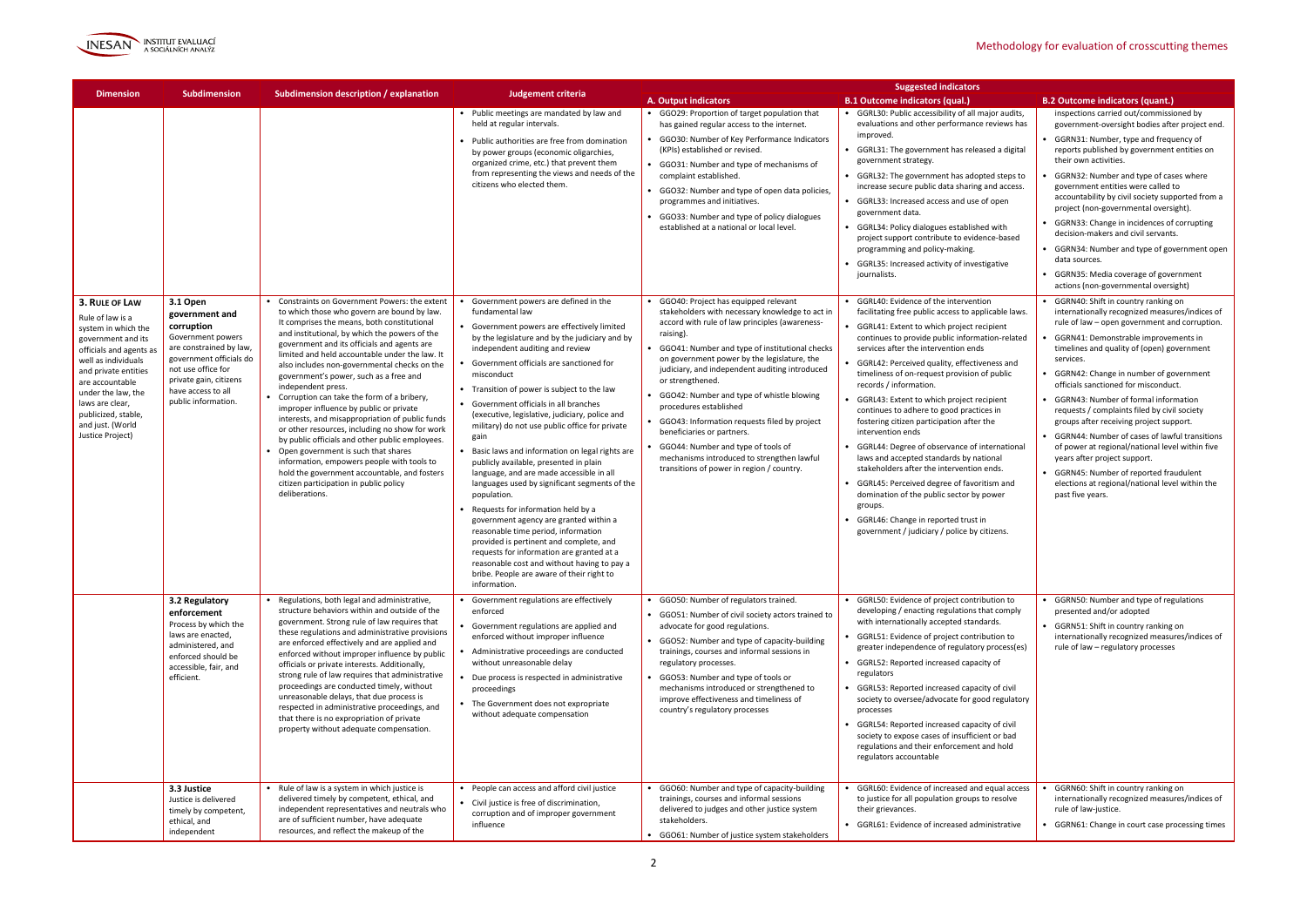

| <b>Dimension</b>                                                                                                                                                                                                                                                                                                                                          | <b>Subdimension</b>                                                                            | Subdimension description / explanation                                                                                                           | <b>Judgement criteria</b>                                                                                                                         |                                                                                                                              | <b>Suggested indicators</b>                                                                                                                                                            |                                                                                                                                 |
|-----------------------------------------------------------------------------------------------------------------------------------------------------------------------------------------------------------------------------------------------------------------------------------------------------------------------------------------------------------|------------------------------------------------------------------------------------------------|--------------------------------------------------------------------------------------------------------------------------------------------------|---------------------------------------------------------------------------------------------------------------------------------------------------|------------------------------------------------------------------------------------------------------------------------------|----------------------------------------------------------------------------------------------------------------------------------------------------------------------------------------|---------------------------------------------------------------------------------------------------------------------------------|
|                                                                                                                                                                                                                                                                                                                                                           |                                                                                                |                                                                                                                                                  |                                                                                                                                                   | A. Output indicators                                                                                                         | <b>B.1 Outcome indicators (qual.)</b>                                                                                                                                                  | <b>B.2 Outcome indicators (quant.)</b>                                                                                          |
|                                                                                                                                                                                                                                                                                                                                                           |                                                                                                |                                                                                                                                                  | • Public meetings are mandated by law and<br>held at regular intervals.                                                                           | • GGO29: Proportion of target population that<br>has gained regular access to the internet.                                  | • GGRL30: Public accessibility of all major audits,<br>evaluations and other performance reviews has                                                                                   | inspections carried out/commissioned by<br>government-oversight bodies after project end.                                       |
|                                                                                                                                                                                                                                                                                                                                                           |                                                                                                |                                                                                                                                                  | Public authorities are free from domination<br>by power groups (economic oligarchies,<br>organized crime, etc.) that prevent them                 | • GGO30: Number of Key Performance Indicators<br>(KPIs) established or revised.<br>• GGO31: Number and type of mechanisms of | improved.<br>GGRL31: The government has released a digital<br>government strategy.<br>• GGRL32: The government has adopted steps to<br>increase secure public data sharing and access. | • GGRN31: Number, type and frequency of<br>reports published by government entities on<br>their own activities.                 |
|                                                                                                                                                                                                                                                                                                                                                           |                                                                                                |                                                                                                                                                  | from representing the views and needs of the<br>citizens who elected them.                                                                        | complaint established.<br>• GGO32: Number and type of open data policies,                                                    |                                                                                                                                                                                        | GGRN32: Number and type of cases where<br>government entities were called to                                                    |
|                                                                                                                                                                                                                                                                                                                                                           |                                                                                                |                                                                                                                                                  |                                                                                                                                                   | programmes and initiatives.<br>• GGO33: Number and type of policy dialogues                                                  | • GGRL33: Increased access and use of open<br>government data.                                                                                                                         | accountability by civil society supported from a<br>project (non-governmental oversight).                                       |
|                                                                                                                                                                                                                                                                                                                                                           |                                                                                                |                                                                                                                                                  |                                                                                                                                                   | established at a national or local level.                                                                                    | • GGRL34: Policy dialogues established with<br>project support contribute to evidence-based                                                                                            | GGRN33: Change in incidences of corrupting<br>decision-makers and civil servants.                                               |
|                                                                                                                                                                                                                                                                                                                                                           |                                                                                                |                                                                                                                                                  |                                                                                                                                                   |                                                                                                                              | programming and policy-making.<br>GGRL35: Increased activity of investigative                                                                                                          | GGRN34: Number and type of government open<br>data sources.                                                                     |
|                                                                                                                                                                                                                                                                                                                                                           |                                                                                                |                                                                                                                                                  |                                                                                                                                                   |                                                                                                                              | journalists.                                                                                                                                                                           | • GGRN35: Media coverage of government<br>actions (non-governmental oversight)                                                  |
| 3. RULE OF LAW<br>Rule of law is a                                                                                                                                                                                                                                                                                                                        | 3.1 Open<br>government and                                                                     | Constraints on Government Powers: the extent<br>to which those who govern are bound by law.                                                      | Government powers are defined in the<br>fundamental law                                                                                           | • GGO40: Project has equipped relevant<br>stakeholders with necessary knowledge to act in                                    | • GGRL40: Evidence of the intervention<br>facilitating free public access to applicable laws.                                                                                          | GGRN40: Shift in country ranking on<br>internationally recognized measures/indices of                                           |
| system in which the<br>government and its                                                                                                                                                                                                                                                                                                                 | corruption<br>Government powers                                                                | It comprises the means, both constitutional<br>and institutional, by which the powers of the<br>government and its officials and agents are      | Government powers are effectively limited<br>by the legislature and by the judiciary and by                                                       | accord with rule of law principles (awareness-<br>raising).                                                                  | • GGRL41: Extent to which project recipient<br>continues to provide public information-related                                                                                         | rule of law – open government and corruption.<br>GGRN41: Demonstrable improvements in                                           |
| are constrained by law,<br>officials and agents as<br>government officials do<br>well as individuals<br>not use office for<br>and private entities<br>government's power, such as a free and<br>private gain, citizens<br>are accountable<br>independent press.<br>have access to all<br>under the law, the<br>Corruption can take the form of a bribery, | limited and held accountable under the law. It<br>also includes non-governmental checks on the | independent auditing and review<br>Government officials are sanctioned for                                                                       | • GGO41: Number and type of institutional checks<br>on government power by the legislature, the<br>judiciary, and independent auditing introduced | services after the intervention ends<br>GGRL42: Perceived quality, effectiveness and                                         | timelines and quality of (open) government<br>services.                                                                                                                                |                                                                                                                                 |
|                                                                                                                                                                                                                                                                                                                                                           |                                                                                                | misconduct<br>• Transition of power is subject to the law                                                                                        | or strengthened.<br>• GGO42: Number and type of whistle blowing                                                                                   | timeliness of on-request provision of public<br>records / information.                                                       | GGRN42: Change in number of government<br>officials sanctioned for misconduct.                                                                                                         |                                                                                                                                 |
| laws are clear,<br>publicized, stable,<br>and just. (World                                                                                                                                                                                                                                                                                                | public information.                                                                            | improper influence by public or private<br>interests, and misappropriation of public funds                                                       | Government officials in all branches<br>(executive, legislative, judiciary, police and<br>military) do not use public office for private          | procedures established<br>• GGO43: Information requests filed by project                                                     | GGRL43: Extent to which project recipient<br>continues to adhere to good practices in<br>fostering citizen participation after the                                                     | GGRN43: Number of formal information<br>requests / complaints filed by civil society<br>groups after receiving project support. |
| Justice Project)                                                                                                                                                                                                                                                                                                                                          |                                                                                                | or other resources, including no show for work<br>by public officials and other public employees.<br>• Open government is such that shares       | gain<br>Basic laws and information on legal rights are                                                                                            | beneficiaries or partners.<br>• GGO44: Number and type of tools of                                                           | intervention ends<br>GGRL44: Degree of observance of international                                                                                                                     | • GGRN44: Number of cases of lawful transitions<br>of power at regional/national level within five                              |
|                                                                                                                                                                                                                                                                                                                                                           |                                                                                                | information, empowers people with tools to<br>hold the government accountable, and fosters                                                       | publicly available, presented in plain<br>language, and are made accessible in all                                                                | mechanisms introduced to strengthen lawful<br>transitions of power in region / country.                                      | laws and accepted standards by national<br>stakeholders after the intervention ends.                                                                                                   | years after project support.<br>• GGRN45: Number of reported fraudulent                                                         |
|                                                                                                                                                                                                                                                                                                                                                           |                                                                                                | citizen participation in public policy<br>deliberations.                                                                                         | languages used by significant segments of the<br>population.                                                                                      |                                                                                                                              | • GGRL45: Perceived degree of favoritism and<br>domination of the public sector by power                                                                                               | elections at regional/national level within the<br>past five years.                                                             |
|                                                                                                                                                                                                                                                                                                                                                           |                                                                                                |                                                                                                                                                  | Requests for information held by a<br>government agency are granted within a                                                                      |                                                                                                                              | groups.<br>GGRL46: Change in reported trust in                                                                                                                                         |                                                                                                                                 |
|                                                                                                                                                                                                                                                                                                                                                           |                                                                                                |                                                                                                                                                  | reasonable time period, information<br>provided is pertinent and complete, and<br>requests for information are granted at a                       |                                                                                                                              | government / judiciary / police by citizens.                                                                                                                                           |                                                                                                                                 |
|                                                                                                                                                                                                                                                                                                                                                           |                                                                                                |                                                                                                                                                  | reasonable cost and without having to pay a<br>bribe. People are aware of their right to                                                          |                                                                                                                              |                                                                                                                                                                                        |                                                                                                                                 |
|                                                                                                                                                                                                                                                                                                                                                           | 3.2 Regulatory                                                                                 | Regulations, both legal and administrative,                                                                                                      | information.<br>Government regulations are effectively                                                                                            | • GGO50: Number of regulators trained.                                                                                       | • GGRL50: Evidence of project contribution to                                                                                                                                          | • GGRN50: Number and type of regulations                                                                                        |
|                                                                                                                                                                                                                                                                                                                                                           | enforcement<br>Process by which the                                                            | structure behaviors within and outside of the<br>government. Strong rule of law requires that<br>these regulations and administrative provisions | enforced<br>Government regulations are applied and                                                                                                | • GGO51: Number of civil society actors trained to<br>advocate for good regulations.                                         | developing / enacting regulations that comply<br>with internationally accepted standards.                                                                                              | presented and/or adopted<br>• GGRN51: Shift in country ranking on                                                               |
| laws are enacted,<br>are enforced effectively and are applied and<br>administered, and<br>enforced without improper influence by public<br>enforced should be                                                                                                                                                                                             | enforced without improper influence<br>Administrative proceedings are conducted                | • GGO52: Number and type of capacity-building<br>trainings, courses and informal sessions in                                                     | • GGRL51: Evidence of project contribution to<br>greater independence of regulatory process(es)                                                   | internationally recognized measures/indices of<br>rule of law - regulatory processes                                         |                                                                                                                                                                                        |                                                                                                                                 |
|                                                                                                                                                                                                                                                                                                                                                           | accessible, fair, and<br>efficient.                                                            | officials or private interests. Additionally,<br>strong rule of law requires that administrative<br>proceedings are conducted timely, without    | without unreasonable delay<br>Due process is respected in administrative                                                                          | regulatory processes.<br>• GGO53: Number and type of tools or                                                                | • GGRL52: Reported increased capacity of<br>regulators                                                                                                                                 |                                                                                                                                 |
|                                                                                                                                                                                                                                                                                                                                                           |                                                                                                | unreasonable delays, that due process is<br>respected in administrative proceedings, and                                                         | proceedings<br>• The Government does not expropriate                                                                                              | mechanisms introduced or strengthened to<br>improve effectiveness and timeliness of<br>country's regulatory processes        | GGRL53: Reported increased capacity of civil<br>society to oversee/advocate for good regulatory<br>processes                                                                           |                                                                                                                                 |
|                                                                                                                                                                                                                                                                                                                                                           |                                                                                                | that there is no expropriation of private<br>property without adequate compensation.                                                             | without adequate compensation                                                                                                                     |                                                                                                                              | GGRL54: Reported increased capacity of civil<br>society to expose cases of insufficient or bad                                                                                         |                                                                                                                                 |
|                                                                                                                                                                                                                                                                                                                                                           |                                                                                                |                                                                                                                                                  |                                                                                                                                                   |                                                                                                                              | regulations and their enforcement and hold<br>regulators accountable                                                                                                                   |                                                                                                                                 |
|                                                                                                                                                                                                                                                                                                                                                           | 3.3 Justice                                                                                    | Rule of law is a system in which justice is                                                                                                      | • People can access and afford civil justice                                                                                                      | • GGO60: Number and type of capacity-building                                                                                | • GGRL60: Evidence of increased and equal access                                                                                                                                       | GGRN60: Shift in country ranking on                                                                                             |
|                                                                                                                                                                                                                                                                                                                                                           | Justice is delivered<br>timely by competent,                                                   | delivered timely by competent, ethical, and<br>independent representatives and neutrals who<br>are of sufficient number, have adequate           | Civil justice is free of discrimination,<br>corruption and of improper government                                                                 | trainings, courses and informal sessions<br>delivered to judges and other justice system<br>stakeholders.                    | to justice for all population groups to resolve<br>their grievances.                                                                                                                   | internationally recognized measures/indices of<br>rule of law-justice.                                                          |
|                                                                                                                                                                                                                                                                                                                                                           | ethical, and<br>independent                                                                    | resources, and reflect the makeup of the                                                                                                         | influence                                                                                                                                         | • GGO61: Number of justice system stakeholders                                                                               | • GGRL61: Evidence of increased administrative                                                                                                                                         | GGRN61: Change in court case processing times                                                                                   |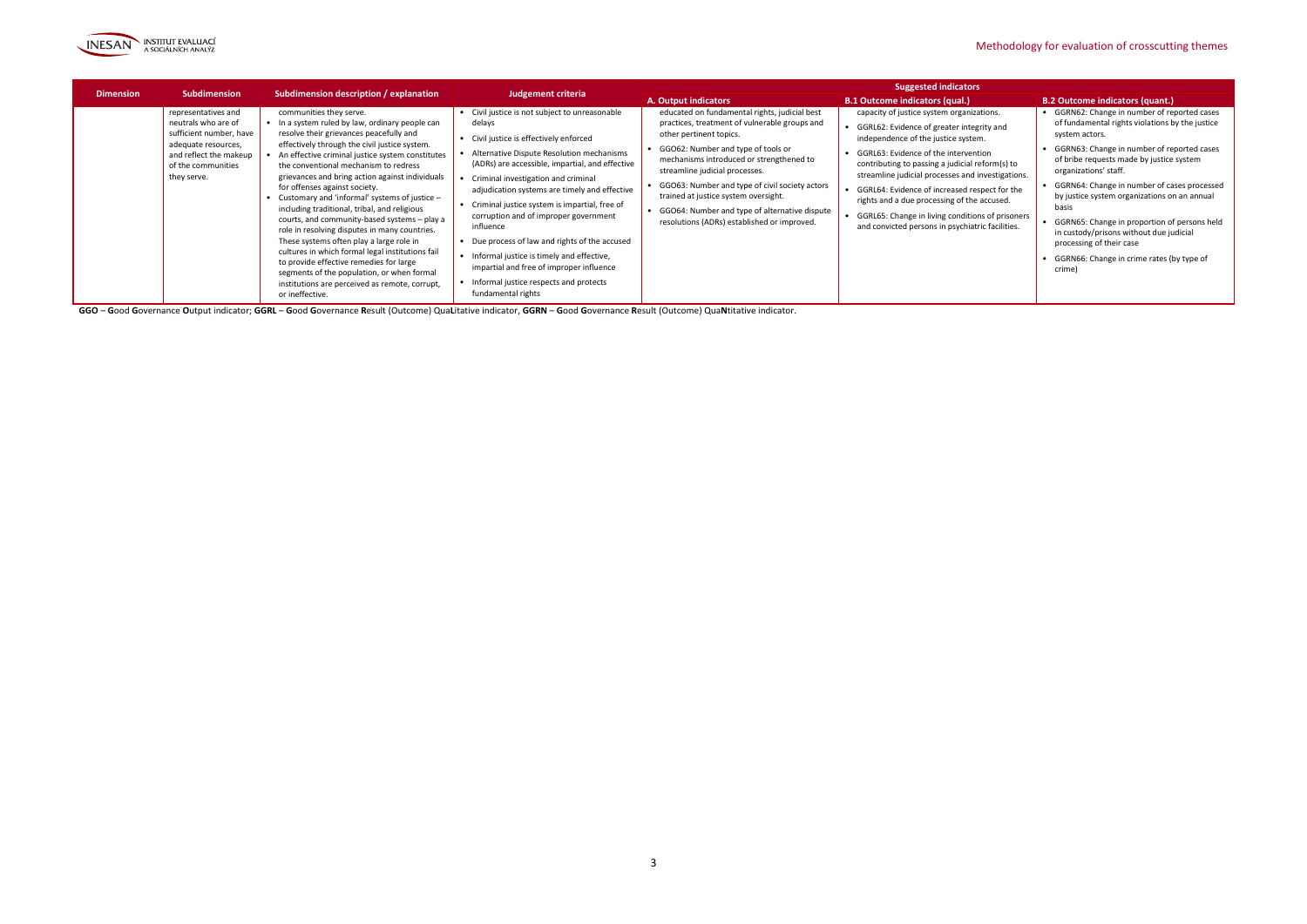

|                  |                                                                                                                                                             |                                                                                                                                                                                                                                                                                                                                                                                                                                                                                                                                                                                                                                                                                                                                                                                                                           |                                                                                                                                                                                                                                                                                                                                                                                                                                                                                                                                                                                                                         | <b>Suggested indicators</b>                                                                                                                                                                                                                                                                                                                                                                                                                   |                                                                                                                                                                                                                                                                                                                                                                                                                                                                                           |                                                                                                                                                                                                                                                                                                                                                                                                                                                                                                                                  |  |
|------------------|-------------------------------------------------------------------------------------------------------------------------------------------------------------|---------------------------------------------------------------------------------------------------------------------------------------------------------------------------------------------------------------------------------------------------------------------------------------------------------------------------------------------------------------------------------------------------------------------------------------------------------------------------------------------------------------------------------------------------------------------------------------------------------------------------------------------------------------------------------------------------------------------------------------------------------------------------------------------------------------------------|-------------------------------------------------------------------------------------------------------------------------------------------------------------------------------------------------------------------------------------------------------------------------------------------------------------------------------------------------------------------------------------------------------------------------------------------------------------------------------------------------------------------------------------------------------------------------------------------------------------------------|-----------------------------------------------------------------------------------------------------------------------------------------------------------------------------------------------------------------------------------------------------------------------------------------------------------------------------------------------------------------------------------------------------------------------------------------------|-------------------------------------------------------------------------------------------------------------------------------------------------------------------------------------------------------------------------------------------------------------------------------------------------------------------------------------------------------------------------------------------------------------------------------------------------------------------------------------------|----------------------------------------------------------------------------------------------------------------------------------------------------------------------------------------------------------------------------------------------------------------------------------------------------------------------------------------------------------------------------------------------------------------------------------------------------------------------------------------------------------------------------------|--|
| <b>Dimension</b> | <b>Subdimension</b>                                                                                                                                         | Subdimension description / explanation                                                                                                                                                                                                                                                                                                                                                                                                                                                                                                                                                                                                                                                                                                                                                                                    | <b>Judgement criteria</b>                                                                                                                                                                                                                                                                                                                                                                                                                                                                                                                                                                                               | <b>A. Output indicators</b>                                                                                                                                                                                                                                                                                                                                                                                                                   | <b>B.1 Outcome indicators (qual.)</b>                                                                                                                                                                                                                                                                                                                                                                                                                                                     | <b>B.2 Outcome indicators (quant.)</b>                                                                                                                                                                                                                                                                                                                                                                                                                                                                                           |  |
|                  | representatives and<br>neutrals who are of<br>sufficient number, have<br>adequate resources,<br>and reflect the makeup<br>of the communities<br>they serve. | communities they serve.<br>• In a system ruled by law, ordinary people can<br>resolve their grievances peacefully and<br>effectively through the civil justice system.<br>An effective criminal justice system constitutes<br>the conventional mechanism to redress<br>grievances and bring action against individuals<br>for offenses against society.<br>• Customary and 'informal' systems of justice -<br>including traditional, tribal, and religious<br>courts, and community-based systems - play a<br>role in resolving disputes in many countries.<br>These systems often play a large role in<br>cultures in which formal legal institutions fail<br>to provide effective remedies for large<br>segments of the population, or when formal<br>institutions are perceived as remote, corrupt,<br>or ineffective. | • Civil justice is not subject to unreasonable<br>delays<br>• Civil justice is effectively enforced<br>• Alternative Dispute Resolution mechanisms<br>(ADRs) are accessible, impartial, and effective<br>• Criminal investigation and criminal<br>adjudication systems are timely and effective<br>• Criminal justice system is impartial, free of<br>corruption and of improper government<br>influence<br>• Due process of law and rights of the accused<br>• Informal justice is timely and effective,<br>impartial and free of improper influence<br>• Informal justice respects and protects<br>fundamental rights | educated on fundamental rights, judicial best<br>practices, treatment of vulnerable groups and<br>other pertinent topics.<br>• GGO62: Number and type of tools or<br>mechanisms introduced or strengthened to<br>streamline judicial processes.<br>• GGO63: Number and type of civil society actors<br>trained at justice system oversight.<br>• GGO64: Number and type of alternative dispute<br>resolutions (ADRs) established or improved. | capacity of justice system organizations.<br>• GGRL62: Evidence of greater integrity and<br>independence of the justice system.<br>GGRL63: Evidence of the intervention<br>contributing to passing a judicial reform(s) to<br>streamline judicial processes and investigations.<br>• GGRL64: Evidence of increased respect for the<br>rights and a due processing of the accused.<br>GGRL65: Change in living conditions of prisoners<br>and convicted persons in psychiatric facilities. | • GGRN62: Change in number of reported cases<br>of fundamental rights violations by the justice<br>system actors.<br>• GGRN63: Change in number of reported cases<br>of bribe requests made by justice system<br>organizations' staff.<br>• GGRN64: Change in number of cases processed<br>by justice system organizations on an annual<br>basis<br>• GGRN65: Change in proportion of persons held<br>in custody/prisons without due judicial<br>processing of their case<br>GGRN66: Change in crime rates (by type of<br>crime) |  |

GGO - Good Governance Output indicator; GGRL - Good Governance Result (Outcome) QuaLitative indicator, GGRN - Good Governance Result (Outcome) QuaNtitative indicator.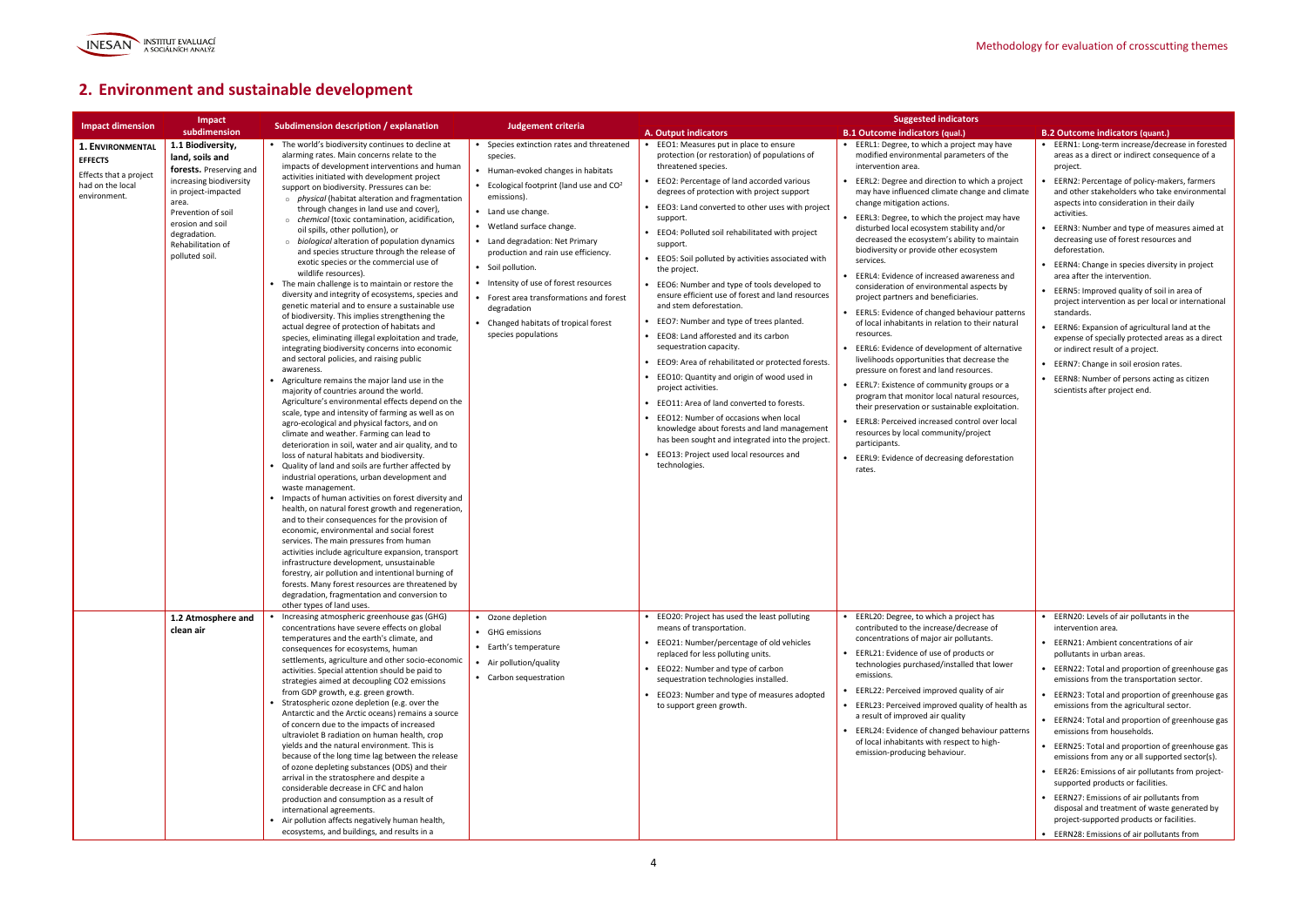

## **2. Environment and sustainable development**

|                                                                                                  | Impact                                                                                                                                                                                                                      |                                                                                                                                                                                                                                                                                                                                                                                                                                                                                                                                                                                                                                                                                                                                                                                                                                                                                                                                                                                                                                                                                                                                                                                                                                                                                                                                                                                                                                                                                                                                                                                                                                                                                                                                                                                                                                                                                                                                                                                                                                                                                                                                                          |                                                                                                                                                                                                                                                                                                                                                                                                                                                                               |                                                                                                                                                                                                                                                                                                                                                                                                                                                                                                                                                                                                                                                                                                                                                                                                                                                                                                                                                                                                                                                | <b>Suggested indicators</b>                                                                                                                                                                                                                                                                                                                                                                                                                                                                                                                                                                                                                                                                                                                                                                                                                                                                                                                                                                                                                                                                                                                                                     |                                                                                                                                                                                                                                                                                                                                                                                                                                                                                                                                                                                                                                                                                                                                                                                                                                                         |
|--------------------------------------------------------------------------------------------------|-----------------------------------------------------------------------------------------------------------------------------------------------------------------------------------------------------------------------------|----------------------------------------------------------------------------------------------------------------------------------------------------------------------------------------------------------------------------------------------------------------------------------------------------------------------------------------------------------------------------------------------------------------------------------------------------------------------------------------------------------------------------------------------------------------------------------------------------------------------------------------------------------------------------------------------------------------------------------------------------------------------------------------------------------------------------------------------------------------------------------------------------------------------------------------------------------------------------------------------------------------------------------------------------------------------------------------------------------------------------------------------------------------------------------------------------------------------------------------------------------------------------------------------------------------------------------------------------------------------------------------------------------------------------------------------------------------------------------------------------------------------------------------------------------------------------------------------------------------------------------------------------------------------------------------------------------------------------------------------------------------------------------------------------------------------------------------------------------------------------------------------------------------------------------------------------------------------------------------------------------------------------------------------------------------------------------------------------------------------------------------------------------|-------------------------------------------------------------------------------------------------------------------------------------------------------------------------------------------------------------------------------------------------------------------------------------------------------------------------------------------------------------------------------------------------------------------------------------------------------------------------------|------------------------------------------------------------------------------------------------------------------------------------------------------------------------------------------------------------------------------------------------------------------------------------------------------------------------------------------------------------------------------------------------------------------------------------------------------------------------------------------------------------------------------------------------------------------------------------------------------------------------------------------------------------------------------------------------------------------------------------------------------------------------------------------------------------------------------------------------------------------------------------------------------------------------------------------------------------------------------------------------------------------------------------------------|---------------------------------------------------------------------------------------------------------------------------------------------------------------------------------------------------------------------------------------------------------------------------------------------------------------------------------------------------------------------------------------------------------------------------------------------------------------------------------------------------------------------------------------------------------------------------------------------------------------------------------------------------------------------------------------------------------------------------------------------------------------------------------------------------------------------------------------------------------------------------------------------------------------------------------------------------------------------------------------------------------------------------------------------------------------------------------------------------------------------------------------------------------------------------------|---------------------------------------------------------------------------------------------------------------------------------------------------------------------------------------------------------------------------------------------------------------------------------------------------------------------------------------------------------------------------------------------------------------------------------------------------------------------------------------------------------------------------------------------------------------------------------------------------------------------------------------------------------------------------------------------------------------------------------------------------------------------------------------------------------------------------------------------------------|
| <b>Impact dimension</b>                                                                          | subdimension                                                                                                                                                                                                                | Subdimension description / explanation                                                                                                                                                                                                                                                                                                                                                                                                                                                                                                                                                                                                                                                                                                                                                                                                                                                                                                                                                                                                                                                                                                                                                                                                                                                                                                                                                                                                                                                                                                                                                                                                                                                                                                                                                                                                                                                                                                                                                                                                                                                                                                                   | Judgement criteria                                                                                                                                                                                                                                                                                                                                                                                                                                                            | A. Output indicators                                                                                                                                                                                                                                                                                                                                                                                                                                                                                                                                                                                                                                                                                                                                                                                                                                                                                                                                                                                                                           | <b>B.1 Outcome indicators (qual.)</b>                                                                                                                                                                                                                                                                                                                                                                                                                                                                                                                                                                                                                                                                                                                                                                                                                                                                                                                                                                                                                                                                                                                                           | <b>B.2 Outcome indicators (quant.)</b>                                                                                                                                                                                                                                                                                                                                                                                                                                                                                                                                                                                                                                                                                                                                                                                                                  |
| 1. ENVIRONMENTAL<br><b>EFFECTS</b><br>Effects that a project<br>had on the local<br>environment. | 1.1 Biodiversity,<br>land, soils and<br>forests. Preserving and<br>increasing biodiversity<br>in project-impacted<br>area.<br>Prevention of soil<br>erosion and soil<br>degradation.<br>Rehabilitation of<br>polluted soil. | • The world's biodiversity continues to decline at<br>alarming rates. Main concerns relate to the<br>impacts of development interventions and human<br>activities initiated with development project<br>support on biodiversity. Pressures can be:<br>$\circ$ physical (habitat alteration and fragmentation<br>through changes in land use and cover),<br>o chemical (toxic contamination, acidification,<br>oil spills, other pollution), or<br>$\circ$ biological alteration of population dynamics<br>and species structure through the release of<br>exotic species or the commercial use of<br>wildlife resources).<br>• The main challenge is to maintain or restore the<br>diversity and integrity of ecosystems, species and<br>genetic material and to ensure a sustainable use<br>of biodiversity. This implies strengthening the<br>actual degree of protection of habitats and<br>species, eliminating illegal exploitation and trade,<br>integrating biodiversity concerns into economic<br>and sectoral policies, and raising public<br>awareness.<br>Agriculture remains the major land use in the<br>majority of countries around the world.<br>Agriculture's environmental effects depend on the<br>scale, type and intensity of farming as well as on<br>agro-ecological and physical factors, and on<br>climate and weather. Farming can lead to<br>deterioration in soil, water and air quality, and to<br>loss of natural habitats and biodiversity.<br>Quality of land and soils are further affected by<br>industrial operations, urban development and<br>waste management.<br>• Impacts of human activities on forest diversity and<br>health, on natural forest growth and regeneration,<br>and to their consequences for the provision of<br>economic, environmental and social forest<br>services. The main pressures from human<br>activities include agriculture expansion, transport<br>infrastructure development, unsustainable<br>forestry, air pollution and intentional burning of<br>forests. Many forest resources are threatened by<br>degradation, fragmentation and conversion to<br>other types of land uses. | • Species extinction rates and threatened<br>species.<br>Human-evoked changes in habitats<br>• Ecological footprint (land use and $CO2$<br>emissions).<br>• Land use change.<br>• Wetland surface change.<br>• Land degradation: Net Primary<br>production and rain use efficiency.<br>• Soil pollution.<br>• Intensity of use of forest resources<br>• Forest area transformations and forest<br>degradation<br>• Changed habitats of tropical forest<br>species populations | • EEO1: Measures put in place to ensure<br>protection (or restoration) of populations of<br>threatened species.<br>EEO2: Percentage of land accorded various<br>degrees of protection with project support<br>EEO3: Land converted to other uses with project<br>support.<br>EEO4: Polluted soil rehabilitated with project<br>support.<br>EEO5: Soil polluted by activities associated with<br>the project.<br>EEO6: Number and type of tools developed to<br>ensure efficient use of forest and land resources<br>and stem deforestation.<br>EEO7: Number and type of trees planted.<br>• EEO8: Land afforested and its carbon<br>sequestration capacity.<br>• EEO9: Area of rehabilitated or protected forests.<br>EEO10: Quantity and origin of wood used in<br>project activities.<br>EEO11: Area of land converted to forests.<br>• EEO12: Number of occasions when local<br>knowledge about forests and land management<br>has been sought and integrated into the project.<br>EEO13: Project used local resources and<br>technologies. | • EERL1: Degree, to which a project may have<br>modified environmental parameters of the<br>intervention area.<br>EERL2: Degree and direction to which a project<br>may have influenced climate change and climate<br>change mitigation actions.<br>EERL3: Degree, to which the project may have<br>disturbed local ecosystem stability and/or<br>decreased the ecosystem's ability to maintain<br>biodiversity or provide other ecosystem<br>services.<br>EERL4: Evidence of increased awareness and<br>consideration of environmental aspects by<br>project partners and beneficiaries.<br>EERL5: Evidence of changed behaviour patterns<br>of local inhabitants in relation to their natural<br>resources.<br>EERL6: Evidence of development of alternative<br>livelihoods opportunities that decrease the<br>pressure on forest and land resources.<br>• EERL7: Existence of community groups or a<br>program that monitor local natural resources,<br>their preservation or sustainable exploitation.<br>EERL8: Perceived increased control over local<br>resources by local community/project<br>participants.<br>• EERL9: Evidence of decreasing deforestation<br>rates. | EERN1: Long-term increase/decrease in forested<br>areas as a direct or indirect consequence of a<br>project.<br>EERN2: Percentage of policy-makers, farmers<br>and other stakeholders who take environmental<br>aspects into consideration in their daily<br>activities.<br>EERN3: Number and type of measures aimed at<br>decreasing use of forest resources and<br>deforestation.<br>EERN4: Change in species diversity in project<br>area after the intervention.<br>• EERN5: Improved quality of soil in area of<br>project intervention as per local or international<br>standards.<br>EERN6: Expansion of agricultural land at the<br>expense of specially protected areas as a direct<br>or indirect result of a project.<br>EERN7: Change in soil erosion rates.<br>EERN8: Number of persons acting as citizen<br>scientists after project end. |
|                                                                                                  | 1.2 Atmosphere and<br>clean air                                                                                                                                                                                             | Increasing atmospheric greenhouse gas (GHG)<br>concentrations have severe effects on global<br>temperatures and the earth's climate, and<br>consequences for ecosystems, human<br>settlements, agriculture and other socio-economic<br>activities. Special attention should be paid to<br>strategies aimed at decoupling CO2 emissions<br>from GDP growth, e.g. green growth.<br>Stratospheric ozone depletion (e.g. over the<br>Antarctic and the Arctic oceans) remains a source<br>of concern due to the impacts of increased<br>ultraviolet B radiation on human health, crop<br>yields and the natural environment. This is<br>because of the long time lag between the release<br>of ozone depleting substances (ODS) and their<br>arrival in the stratosphere and despite a<br>considerable decrease in CFC and halon<br>production and consumption as a result of<br>international agreements.<br>Air pollution affects negatively human health,<br>ecosystems, and buildings, and results in a                                                                                                                                                                                                                                                                                                                                                                                                                                                                                                                                                                                                                                                                                                                                                                                                                                                                                                                                                                                                                                                                                                                                                  | • Ozone depletion<br>• GHG emissions<br>• Earth's temperature<br>• Air pollution/quality<br>• Carbon sequestration                                                                                                                                                                                                                                                                                                                                                            | • EEO20: Project has used the least polluting<br>means of transportation.<br>EEO21: Number/percentage of old vehicles<br>replaced for less polluting units.<br>• EEO22: Number and type of carbon<br>sequestration technologies installed.<br>• EEO23: Number and type of measures adopted<br>to support green growth.                                                                                                                                                                                                                                                                                                                                                                                                                                                                                                                                                                                                                                                                                                                         | • EERL20: Degree, to which a project has<br>contributed to the increase/decrease of<br>concentrations of major air pollutants.<br>• EERL21: Evidence of use of products or<br>technologies purchased/installed that lower<br>emissions.<br>EERL22: Perceived improved quality of air<br>• EERL23: Perceived improved quality of health as<br>a result of improved air quality<br>EERL24: Evidence of changed behaviour patterns<br>of local inhabitants with respect to high-<br>emission-producing behaviour.                                                                                                                                                                                                                                                                                                                                                                                                                                                                                                                                                                                                                                                                  | • EERN20: Levels of air pollutants in the<br>intervention area.<br>EERN21: Ambient concentrations of air<br>pollutants in urban areas.<br>EERN22: Total and proportion of greenhouse gas<br>emissions from the transportation sector.<br>EERN23: Total and proportion of greenhouse gas<br>emissions from the agricultural sector.<br>• EERN24: Total and proportion of greenhouse gas<br>emissions from households.<br>• EERN25: Total and proportion of greenhouse gas<br>emissions from any or all supported sector(s).<br>• EER26: Emissions of air pollutants from project-<br>supported products or facilities.<br>EERN27: Emissions of air pollutants from<br>disposal and treatment of waste generated by<br>project-supported products or facilities.<br>EERN28: Emissions of air pollutants from                                              |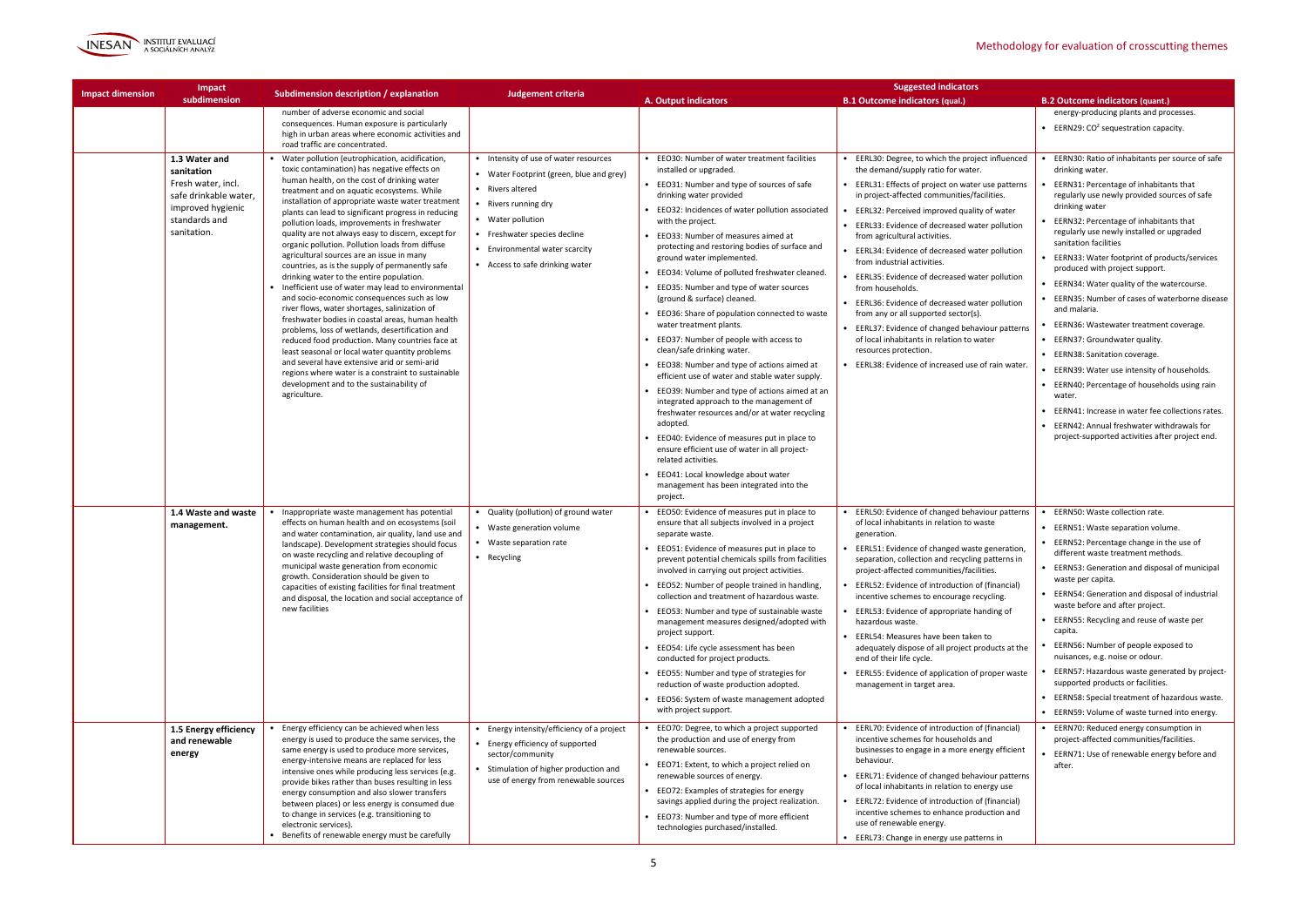

|                         | Impact                                                                            |                                                                                                                                                                                                                                                                                                                         |                                                                                                                                                                    |                                                                                                                                                                                             | <b>Suggested indicators</b>                                                                                                                                                                                |                                                                                                                                                  |                                                                                                          |
|-------------------------|-----------------------------------------------------------------------------------|-------------------------------------------------------------------------------------------------------------------------------------------------------------------------------------------------------------------------------------------------------------------------------------------------------------------------|--------------------------------------------------------------------------------------------------------------------------------------------------------------------|---------------------------------------------------------------------------------------------------------------------------------------------------------------------------------------------|------------------------------------------------------------------------------------------------------------------------------------------------------------------------------------------------------------|--------------------------------------------------------------------------------------------------------------------------------------------------|----------------------------------------------------------------------------------------------------------|
| <b>Impact dimension</b> | subdimension                                                                      | Subdimension description / explanation                                                                                                                                                                                                                                                                                  | Judgement criteria                                                                                                                                                 | A. Output indicators                                                                                                                                                                        | <b>B.1 Outcome indicators (qual.)</b>                                                                                                                                                                      | <b>B.2 Outcome indicators (quant.)</b>                                                                                                           |                                                                                                          |
|                         |                                                                                   | number of adverse economic and social<br>consequences. Human exposure is particularly<br>high in urban areas where economic activities and<br>road traffic are concentrated.                                                                                                                                            |                                                                                                                                                                    |                                                                                                                                                                                             |                                                                                                                                                                                                            | energy-producing plants and processes.<br><b>•</b> EERN29: $CO2$ sequestration capacity.                                                         |                                                                                                          |
|                         | 1.3 Water and<br>sanitation                                                       | • Water pollution (eutrophication, acidification,<br>toxic contamination) has negative effects on                                                                                                                                                                                                                       | • Intensity of use of water resources<br>• Water Footprint (green, blue and grey)                                                                                  | • EEO30: Number of water treatment facilities<br>installed or upgraded.                                                                                                                     | EERL30: Degree, to which the project influenced<br>the demand/supply ratio for water.                                                                                                                      | EERN30: Ratio of inhabitants per source of safe<br>drinking water.                                                                               |                                                                                                          |
|                         | Fresh water, incl.<br>safe drinkable water,<br>improved hygienic<br>standards and | human health, on the cost of drinking water<br>treatment and on aquatic ecosystems. While<br>installation of appropriate waste water treatment<br>plants can lead to significant progress in reducing                                                                                                                   | • Rivers altered<br>• Rivers running dry<br>• Water pollution<br>• Freshwater species decline<br>• Environmental water scarcity<br>• Access to safe drinking water |                                                                                                                                                                                             | • EEO31: Number and type of sources of safe<br>drinking water provided<br>• EEO32: Incidences of water pollution associated                                                                                | • EERL31: Effects of project on water use patterns<br>in project-affected communities/facilities.<br>EERL32: Perceived improved quality of water | EERN31: Percentage of inhabitants that<br>regularly use newly provided sources of safe<br>drinking water |
|                         | sanitation.                                                                       | pollution loads, improvements in freshwater<br>quality are not always easy to discern, except for<br>organic pollution. Pollution loads from diffuse                                                                                                                                                                    |                                                                                                                                                                    | with the project.<br>• EEO33: Number of measures aimed at<br>protecting and restoring bodies of surface and                                                                                 | EERL33: Evidence of decreased water pollution<br>from agricultural activities.<br>EERL34: Evidence of decreased water pollution                                                                            | EERN32: Percentage of inhabitants that<br>regularly use newly installed or upgraded<br>sanitation facilities                                     |                                                                                                          |
|                         |                                                                                   | agricultural sources are an issue in many<br>countries, as is the supply of permanently safe<br>drinking water to the entire population.                                                                                                                                                                                |                                                                                                                                                                    | ground water implemented.<br>• EEO34: Volume of polluted freshwater cleaned.                                                                                                                | from industrial activities.<br>EERL35: Evidence of decreased water pollution                                                                                                                               | EERN33: Water footprint of products/services<br>produced with project support.                                                                   |                                                                                                          |
|                         |                                                                                   | • Inefficient use of water may lead to environmental<br>and socio-economic consequences such as low                                                                                                                                                                                                                     |                                                                                                                                                                    | • EEO35: Number and type of water sources<br>(ground & surface) cleaned.                                                                                                                    | from households.<br>EERL36: Evidence of decreased water pollution                                                                                                                                          | • EERN34: Water quality of the watercourse.<br>EERN35: Number of cases of waterborne disease                                                     |                                                                                                          |
|                         |                                                                                   | river flows, water shortages, salinization of<br>freshwater bodies in coastal areas, human health                                                                                                                                                                                                                       |                                                                                                                                                                    | • EEO36: Share of population connected to waste<br>water treatment plants.                                                                                                                  | from any or all supported sector(s).<br>• EERL37: Evidence of changed behaviour patterns                                                                                                                   | and malaria.<br>EERN36: Wastewater treatment coverage.                                                                                           |                                                                                                          |
|                         |                                                                                   | problems, loss of wetlands, desertification and<br>reduced food production. Many countries face at<br>least seasonal or local water quantity problems<br>and several have extensive arid or semi-arid<br>regions where water is a constraint to sustainable<br>development and to the sustainability of<br>agriculture. |                                                                                                                                                                    | • EEO37: Number of people with access to<br>clean/safe drinking water.                                                                                                                      | of local inhabitants in relation to water<br>resources protection.                                                                                                                                         | • EERN37: Groundwater quality.<br>• EERN38: Sanitation coverage.                                                                                 |                                                                                                          |
|                         |                                                                                   |                                                                                                                                                                                                                                                                                                                         |                                                                                                                                                                    | • EEO38: Number and type of actions aimed at<br>efficient use of water and stable water supply.                                                                                             | EERL38: Evidence of increased use of rain water                                                                                                                                                            | EERN39: Water use intensity of households.                                                                                                       |                                                                                                          |
|                         |                                                                                   |                                                                                                                                                                                                                                                                                                                         |                                                                                                                                                                    | • EEO39: Number and type of actions aimed at an<br>integrated approach to the management of                                                                                                 |                                                                                                                                                                                                            | EERN40: Percentage of households using rain<br>water.                                                                                            |                                                                                                          |
|                         |                                                                                   |                                                                                                                                                                                                                                                                                                                         |                                                                                                                                                                    | freshwater resources and/or at water recycling<br>adopted.                                                                                                                                  |                                                                                                                                                                                                            | EERN41: Increase in water fee collections rates.<br><b>EERN42: Annual freshwater withdrawals for</b>                                             |                                                                                                          |
|                         |                                                                                   |                                                                                                                                                                                                                                                                                                                         |                                                                                                                                                                    | EEO40: Evidence of measures put in place to<br>ensure efficient use of water in all project-<br>related activities.                                                                         |                                                                                                                                                                                                            | project-supported activities after project end.                                                                                                  |                                                                                                          |
|                         |                                                                                   |                                                                                                                                                                                                                                                                                                                         |                                                                                                                                                                    | • EEO41: Local knowledge about water<br>management has been integrated into the<br>project.                                                                                                 |                                                                                                                                                                                                            |                                                                                                                                                  |                                                                                                          |
|                         | 1.4 Waste and waste<br>management.                                                | Inappropriate waste management has potential<br>effects on human health and on ecosystems (soil<br>and water contamination, air quality, land use and                                                                                                                                                                   | • Quality (pollution) of ground water<br>• Waste generation volume                                                                                                 | • EEO50: Evidence of measures put in place to<br>ensure that all subjects involved in a project<br>separate waste.                                                                          | EERL50: Evidence of changed behaviour patterns<br>of local inhabitants in relation to waste<br>generation.                                                                                                 | EERN50: Waste collection rate.<br>• EERN51: Waste separation volume.                                                                             |                                                                                                          |
|                         |                                                                                   | landscape). Development strategies should focus<br>on waste recycling and relative decoupling of<br>municipal waste generation from economic                                                                                                                                                                            | • Waste separation rate<br>• Recycling                                                                                                                             | EEO51: Evidence of measures put in place to<br>prevent potential chemicals spills from facilities<br>involved in carrying out project activities.                                           | EERL51: Evidence of changed waste generation,<br>separation, collection and recycling patterns in<br>project-affected communities/facilities.                                                              | EERN52: Percentage change in the use of<br>different waste treatment methods.<br>• EERN53: Generation and disposal of municipal                  |                                                                                                          |
|                         |                                                                                   | growth. Consideration should be given to<br>capacities of existing facilities for final treatment<br>and disposal, the location and social acceptance of                                                                                                                                                                |                                                                                                                                                                    | • EEO52: Number of people trained in handling,<br>collection and treatment of hazardous waste.                                                                                              | EERL52: Evidence of introduction of (financial)<br>incentive schemes to encourage recycling.                                                                                                               | waste per capita.<br>• EERN54: Generation and disposal of industrial                                                                             |                                                                                                          |
|                         |                                                                                   | new facilities                                                                                                                                                                                                                                                                                                          |                                                                                                                                                                    | • EEO53: Number and type of sustainable waste<br>management measures designed/adopted with                                                                                                  | EERL53: Evidence of appropriate handing of<br>hazardous waste.                                                                                                                                             | waste before and after project.<br>• EERN55: Recycling and reuse of waste per<br>capita.                                                         |                                                                                                          |
|                         |                                                                                   | project support.<br>• EEO54: Life cycle assessment has been<br>conducted for project products.<br>end of their life cycle.                                                                                                                                                                                              | EERL54: Measures have been taken to<br>adequately dispose of all project products at the                                                                           | EERN56: Number of people exposed to<br>nuisances, e.g. noise or odour.                                                                                                                      |                                                                                                                                                                                                            |                                                                                                                                                  |                                                                                                          |
|                         |                                                                                   |                                                                                                                                                                                                                                                                                                                         |                                                                                                                                                                    | • EEO55: Number and type of strategies for<br>reduction of waste production adopted.                                                                                                        | EERL55: Evidence of application of proper waste<br>management in target area.                                                                                                                              | EERN57: Hazardous waste generated by project-<br>supported products or facilities.                                                               |                                                                                                          |
|                         |                                                                                   |                                                                                                                                                                                                                                                                                                                         |                                                                                                                                                                    | • EEO56: System of waste management adopted<br>with project support.                                                                                                                        |                                                                                                                                                                                                            | • EERN58: Special treatment of hazardous waste.<br>• EERN59: Volume of waste turned into energy.                                                 |                                                                                                          |
|                         | 1.5 Energy efficiency<br>and renewable<br>energy                                  | Energy efficiency can be achieved when less<br>energy is used to produce the same services, the<br>same energy is used to produce more services,<br>energy-intensive means are replaced for less<br>intensive ones while producing less services (e.g.                                                                  | • Energy intensity/efficiency of a project<br>Energy efficiency of supported<br>sector/community<br>Stimulation of higher production and                           | EEO70: Degree, to which a project supported<br>the production and use of energy from<br>renewable sources.<br>• EEO71: Extent, to which a project relied on<br>renewable sources of energy. | EERL70: Evidence of introduction of (financial)<br>incentive schemes for households and<br>businesses to engage in a more energy efficient<br>behaviour.<br>EERL71: Evidence of changed behaviour patterns | • EERN70: Reduced energy consumption in<br>project-affected communities/facilities.<br>EERN71: Use of renewable energy before and<br>after.      |                                                                                                          |
|                         |                                                                                   | provide bikes rather than buses resulting in less<br>energy consumption and also slower transfers<br>between places) or less energy is consumed due<br>to change in services (e.g. transitioning to<br>electronic services).                                                                                            | use of energy from renewable sources                                                                                                                               | • EEO72: Examples of strategies for energy<br>savings applied during the project realization.<br>• EEO73: Number and type of more efficient<br>technologies purchased/installed.            | of local inhabitants in relation to energy use<br>EERL72: Evidence of introduction of (financial)<br>incentive schemes to enhance production and<br>use of renewable energy.                               |                                                                                                                                                  |                                                                                                          |
|                         |                                                                                   | Benefits of renewable energy must be carefully                                                                                                                                                                                                                                                                          |                                                                                                                                                                    |                                                                                                                                                                                             | EERL73: Change in energy use patterns in                                                                                                                                                                   |                                                                                                                                                  |                                                                                                          |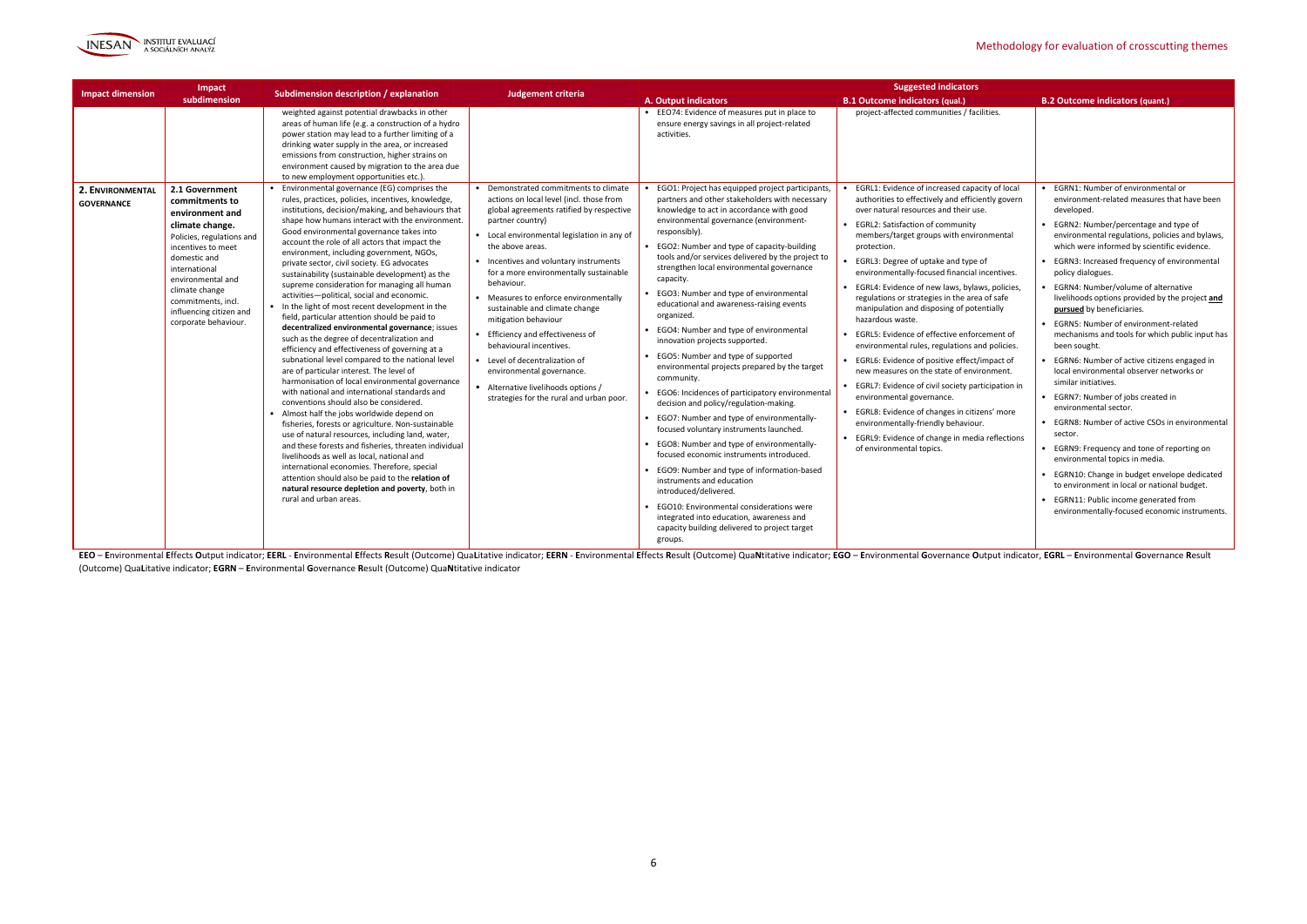

| Impact                                                                                                                                                                                                                                                      |                                                                                                                                                                                                                                                                                                                                                                                                                                                                                                                                                                                                                                                                                                                                                                                                                                                                                                                                                                                                                                                                                                                                                                                                                                                                                                                                                                                                   |                                                                                                                                                                                                                                                                                                                                                                                                                                                                                                                                              |                                                                                                                                                                                                                                                                                                                                                                                                                                                                                                                                                                                                                                                                                                                                                                                                                                                                                                                                                                                                                                                                                                       | <b>Suggested indicators</b>                                                                                                                                                                                                                                                                                                                                                                                                                                                                                                                                                                                                                                                                                                                                                                                                                                    |                                                                                                                                                                                                                                                                                                                                                                                                                                                                                                                                                                                                                                                                                                                                                                                                                                                                                                                                                                                                  |
|-------------------------------------------------------------------------------------------------------------------------------------------------------------------------------------------------------------------------------------------------------------|---------------------------------------------------------------------------------------------------------------------------------------------------------------------------------------------------------------------------------------------------------------------------------------------------------------------------------------------------------------------------------------------------------------------------------------------------------------------------------------------------------------------------------------------------------------------------------------------------------------------------------------------------------------------------------------------------------------------------------------------------------------------------------------------------------------------------------------------------------------------------------------------------------------------------------------------------------------------------------------------------------------------------------------------------------------------------------------------------------------------------------------------------------------------------------------------------------------------------------------------------------------------------------------------------------------------------------------------------------------------------------------------------|----------------------------------------------------------------------------------------------------------------------------------------------------------------------------------------------------------------------------------------------------------------------------------------------------------------------------------------------------------------------------------------------------------------------------------------------------------------------------------------------------------------------------------------------|-------------------------------------------------------------------------------------------------------------------------------------------------------------------------------------------------------------------------------------------------------------------------------------------------------------------------------------------------------------------------------------------------------------------------------------------------------------------------------------------------------------------------------------------------------------------------------------------------------------------------------------------------------------------------------------------------------------------------------------------------------------------------------------------------------------------------------------------------------------------------------------------------------------------------------------------------------------------------------------------------------------------------------------------------------------------------------------------------------|----------------------------------------------------------------------------------------------------------------------------------------------------------------------------------------------------------------------------------------------------------------------------------------------------------------------------------------------------------------------------------------------------------------------------------------------------------------------------------------------------------------------------------------------------------------------------------------------------------------------------------------------------------------------------------------------------------------------------------------------------------------------------------------------------------------------------------------------------------------|--------------------------------------------------------------------------------------------------------------------------------------------------------------------------------------------------------------------------------------------------------------------------------------------------------------------------------------------------------------------------------------------------------------------------------------------------------------------------------------------------------------------------------------------------------------------------------------------------------------------------------------------------------------------------------------------------------------------------------------------------------------------------------------------------------------------------------------------------------------------------------------------------------------------------------------------------------------------------------------------------|
| <b>Impact dimension</b><br>subdimension                                                                                                                                                                                                                     | Subdimension description / explanation                                                                                                                                                                                                                                                                                                                                                                                                                                                                                                                                                                                                                                                                                                                                                                                                                                                                                                                                                                                                                                                                                                                                                                                                                                                                                                                                                            | Judgement criteria                                                                                                                                                                                                                                                                                                                                                                                                                                                                                                                           | <b>A. Output indicators</b>                                                                                                                                                                                                                                                                                                                                                                                                                                                                                                                                                                                                                                                                                                                                                                                                                                                                                                                                                                                                                                                                           | <b>B.1 Outcome indicators (qual.)</b>                                                                                                                                                                                                                                                                                                                                                                                                                                                                                                                                                                                                                                                                                                                                                                                                                          | <b>B.2 Outcome indicators (quant.)</b>                                                                                                                                                                                                                                                                                                                                                                                                                                                                                                                                                                                                                                                                                                                                                                                                                                                                                                                                                           |
| 2.1 Government<br>2. ENVIRONMENTAL<br>commitments to                                                                                                                                                                                                        | weighted against potential drawbacks in other<br>areas of human life (e.g. a construction of a hydro<br>power station may lead to a further limiting of a<br>drinking water supply in the area, or increased<br>emissions from construction, higher strains on<br>environment caused by migration to the area due<br>to new employment opportunities etc.).<br>Environmental governance (EG) comprises the<br>rules, practices, policies, incentives, knowledge,                                                                                                                                                                                                                                                                                                                                                                                                                                                                                                                                                                                                                                                                                                                                                                                                                                                                                                                                  | Demonstrated commitments to climate<br>actions on local level (incl. those from                                                                                                                                                                                                                                                                                                                                                                                                                                                              | • EEO74: Evidence of measures put in place to<br>ensure energy savings in all project-related<br>activities.<br>EGO1: Project has equipped project participants,<br>partners and other stakeholders with necessary                                                                                                                                                                                                                                                                                                                                                                                                                                                                                                                                                                                                                                                                                                                                                                                                                                                                                    | project-affected communities / facilities.<br>EGRL1: Evidence of increased capacity of local<br>authorities to effectively and efficiently govern                                                                                                                                                                                                                                                                                                                                                                                                                                                                                                                                                                                                                                                                                                              | EGRN1: Number of environmental or<br>environment-related measures that have been                                                                                                                                                                                                                                                                                                                                                                                                                                                                                                                                                                                                                                                                                                                                                                                                                                                                                                                 |
| <b>GOVERNANCE</b><br>environment and<br>climate change.<br>Policies, regulations and<br>incentives to meet<br>domestic and<br>international<br>environmental and<br>climate change<br>commitments, incl.<br>influencing citizen and<br>corporate behaviour. | institutions, decision/making, and behaviours that<br>shape how humans interact with the environment.<br>Good environmental governance takes into<br>account the role of all actors that impact the<br>environment, including government, NGOs,<br>private sector, civil society. EG advocates<br>sustainability (sustainable development) as the<br>supreme consideration for managing all human<br>activities-political, social and economic.<br>• In the light of most recent development in the<br>field, particular attention should be paid to<br>decentralized environmental governance; issues<br>such as the degree of decentralization and<br>efficiency and effectiveness of governing at a<br>subnational level compared to the national level<br>are of particular interest. The level of<br>harmonisation of local environmental governance<br>with national and international standards and<br>conventions should also be considered<br>• Almost half the jobs worldwide depend on<br>fisheries, forests or agriculture. Non-sustainable<br>use of natural resources, including land, water,<br>and these forests and fisheries, threaten individual<br>livelihoods as well as local, national and<br>international economies. Therefore, special<br>attention should also be paid to the relation of<br>natural resource depletion and poverty, both in<br>rural and urban areas. | global agreements ratified by respective<br>partner country)<br>Local environmental legislation in any of<br>the above areas.<br>Incentives and voluntary instruments<br>for a more environmentally sustainable<br>behaviour.<br>Measures to enforce environmentally<br>sustainable and climate change<br>mitigation behaviour<br>Efficiency and effectiveness of<br>behavioural incentives.<br>• Level of decentralization of<br>environmental governance.<br>Alternative livelihoods options /<br>strategies for the rural and urban poor. | knowledge to act in accordance with good<br>environmental governance (environment-<br>responsibly).<br>EGO2: Number and type of capacity-building<br>tools and/or services delivered by the project to<br>strengthen local environmental governance<br>capacity.<br>EGO3: Number and type of environmental<br>educational and awareness-raising events<br>organized.<br>• EGO4: Number and type of environmental<br>innovation projects supported.<br>• EGO5: Number and type of supported<br>environmental projects prepared by the target<br>community.<br>EGO6: Incidences of participatory environmental<br>decision and policy/regulation-making.<br>• EGO7: Number and type of environmentally-<br>focused voluntary instruments launched.<br>• EGO8: Number and type of environmentally-<br>focused economic instruments introduced.<br>• EGO9: Number and type of information-based<br>instruments and education<br>introduced/delivered.<br>EGO10: Environmental considerations were<br>integrated into education, awareness and<br>capacity building delivered to project target<br>groups. | over natural resources and their use.<br><b>EGRL2: Satisfaction of community</b><br>members/target groups with environmental<br>protection.<br>EGRL3: Degree of uptake and type of<br>environmentally-focused financial incentives.<br>EGRL4: Evidence of new laws, bylaws, policies,<br>regulations or strategies in the area of safe<br>manipulation and disposing of potentially<br>hazardous waste.<br>EGRL5: Evidence of effective enforcement of<br>environmental rules, regulations and policies.<br>EGRL6: Evidence of positive effect/impact of<br>new measures on the state of environment.<br>EGRL7: Evidence of civil society participation in<br>environmental governance.<br>• EGRL8: Evidence of changes in citizens' more<br>environmentally-friendly behaviour.<br>EGRL9: Evidence of change in media reflections<br>of environmental topics. | developed.<br>• EGRN2: Number/percentage and type of<br>environmental regulations, policies and bylaws,<br>which were informed by scientific evidence.<br>• EGRN3: Increased frequency of environmental<br>policy dialogues.<br>• EGRN4: Number/volume of alternative<br>livelihoods options provided by the project and<br>pursued by beneficiaries.<br>• EGRN5: Number of environment-related<br>mechanisms and tools for which public input has<br>been sought.<br>• EGRN6: Number of active citizens engaged in<br>local environmental observer networks or<br>similar initiatives.<br>• EGRN7: Number of jobs created in<br>environmental sector.<br>• EGRN8: Number of active CSOs in environmental<br>sector.<br>• EGRN9: Frequency and tone of reporting on<br>environmental topics in media.<br>• EGRN10: Change in budget envelope dedicated<br>to environment in local or national budget.<br>• EGRN11: Public income generated from<br>environmentally-focused economic instruments. |

EEO - Environmental Effects Output indicator; EERL - Environmental Effects Result (Outcome) QuaLitative indicator; EERN - Environmental Effects Result (Outcome) QuaLitative indicator; EERN - Environmental Effects Result (O (Outcome) Qua**L**itative indicator; **EGRN** – **E**nvironmental **G**overnance **R**esult (Outcome) Qua**N**titative indicator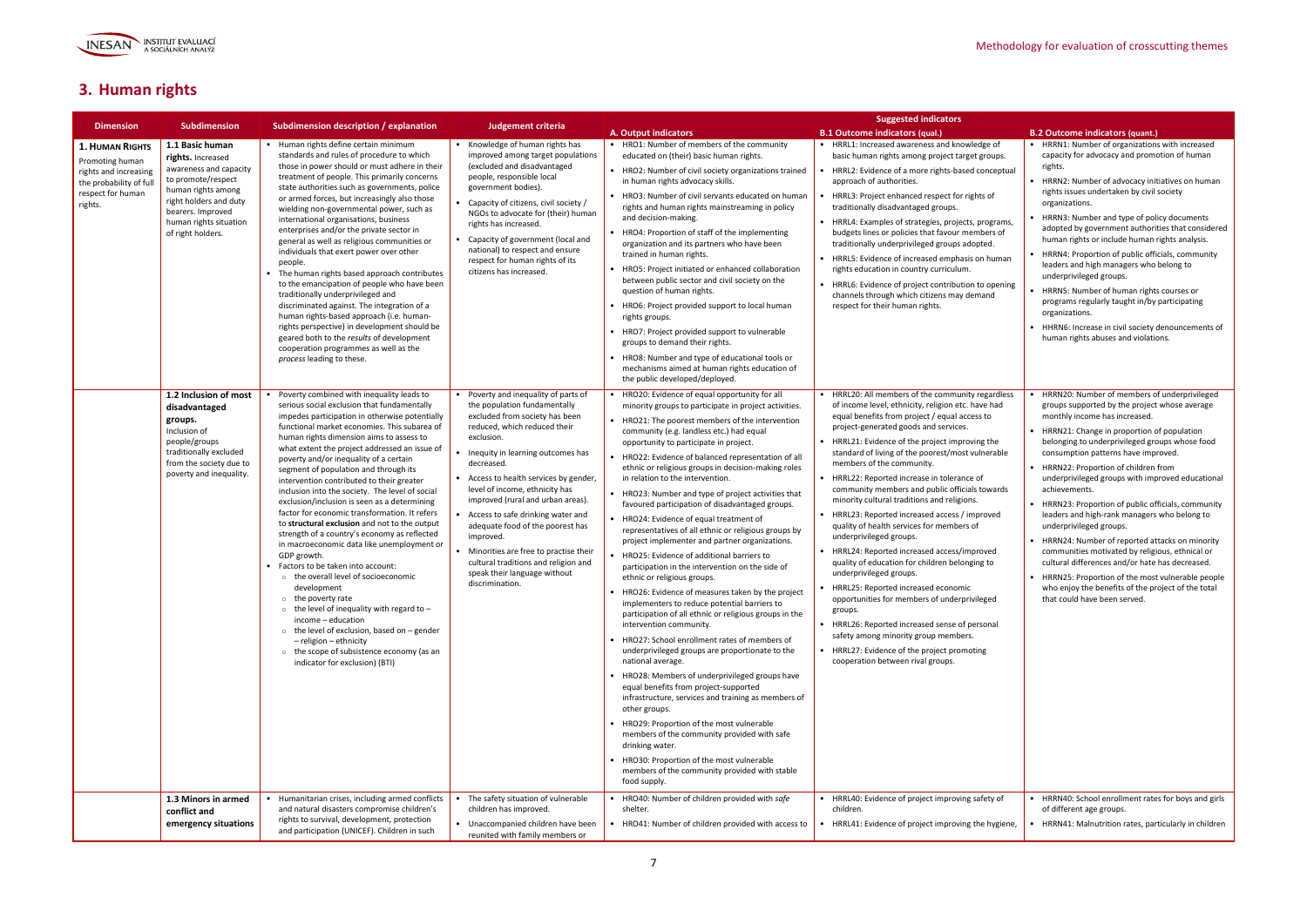

# **3. Human rights**

|                                                                                                                              | <b>Subdimension</b>                                                                                                                                                                                      |                                                                                                                                                                                                                                                                                                                                                                                                                                                                                                                                                                                                                                                                                                                                                                                                                                                                                                                                                                                                                                                                                                             |                                                                                                                                                                                                                                                                                                                                                                                                                                                                                                                                                  |                                                                                                                                                                                                                                                                                                                                                                                                                                                                                                                                                                                                                                                                                                                                                                                                                                                                                                                                                                                                                                                                                                                                                                                                                                                                                                                                                                                                                                                                                                                              | <b>Suggested indicators</b>                                                                                                                                                                                                                                                                                                                                                                                                                                                                                                                                                                                                                                                                                                                                                                                                                                                                                                                                                                                                     |                                                                                                                                                                                                                                                                                                                                                                                                                                                                                                                                                                                                                                                                                                                                                                                                                               |
|------------------------------------------------------------------------------------------------------------------------------|----------------------------------------------------------------------------------------------------------------------------------------------------------------------------------------------------------|-------------------------------------------------------------------------------------------------------------------------------------------------------------------------------------------------------------------------------------------------------------------------------------------------------------------------------------------------------------------------------------------------------------------------------------------------------------------------------------------------------------------------------------------------------------------------------------------------------------------------------------------------------------------------------------------------------------------------------------------------------------------------------------------------------------------------------------------------------------------------------------------------------------------------------------------------------------------------------------------------------------------------------------------------------------------------------------------------------------|--------------------------------------------------------------------------------------------------------------------------------------------------------------------------------------------------------------------------------------------------------------------------------------------------------------------------------------------------------------------------------------------------------------------------------------------------------------------------------------------------------------------------------------------------|------------------------------------------------------------------------------------------------------------------------------------------------------------------------------------------------------------------------------------------------------------------------------------------------------------------------------------------------------------------------------------------------------------------------------------------------------------------------------------------------------------------------------------------------------------------------------------------------------------------------------------------------------------------------------------------------------------------------------------------------------------------------------------------------------------------------------------------------------------------------------------------------------------------------------------------------------------------------------------------------------------------------------------------------------------------------------------------------------------------------------------------------------------------------------------------------------------------------------------------------------------------------------------------------------------------------------------------------------------------------------------------------------------------------------------------------------------------------------------------------------------------------------|---------------------------------------------------------------------------------------------------------------------------------------------------------------------------------------------------------------------------------------------------------------------------------------------------------------------------------------------------------------------------------------------------------------------------------------------------------------------------------------------------------------------------------------------------------------------------------------------------------------------------------------------------------------------------------------------------------------------------------------------------------------------------------------------------------------------------------------------------------------------------------------------------------------------------------------------------------------------------------------------------------------------------------|-------------------------------------------------------------------------------------------------------------------------------------------------------------------------------------------------------------------------------------------------------------------------------------------------------------------------------------------------------------------------------------------------------------------------------------------------------------------------------------------------------------------------------------------------------------------------------------------------------------------------------------------------------------------------------------------------------------------------------------------------------------------------------------------------------------------------------|
| <b>Dimension</b>                                                                                                             |                                                                                                                                                                                                          | Subdimension description / explanation                                                                                                                                                                                                                                                                                                                                                                                                                                                                                                                                                                                                                                                                                                                                                                                                                                                                                                                                                                                                                                                                      | Judgement criteria                                                                                                                                                                                                                                                                                                                                                                                                                                                                                                                               | <b>A. Output indicators</b>                                                                                                                                                                                                                                                                                                                                                                                                                                                                                                                                                                                                                                                                                                                                                                                                                                                                                                                                                                                                                                                                                                                                                                                                                                                                                                                                                                                                                                                                                                  | <b>B.1 Outcome indicators (qual.)</b>                                                                                                                                                                                                                                                                                                                                                                                                                                                                                                                                                                                                                                                                                                                                                                                                                                                                                                                                                                                           | <b>B.2 Outcome indicators (quant.)</b>                                                                                                                                                                                                                                                                                                                                                                                                                                                                                                                                                                                                                                                                                                                                                                                        |
| <b>1. HUMAN RIGHTS</b><br>Promoting human<br>rights and increasing<br>the probability of ful<br>respect for human<br>rights. | 1.1 Basic human<br>rights. Increased<br>awareness and capacity<br>to promote/respect<br>human rights among<br>right holders and duty<br>bearers. Improved<br>human rights situation<br>of right holders. | • Human rights define certain minimum<br>standards and rules of procedure to which<br>those in power should or must adhere in their<br>treatment of people. This primarily concerns<br>state authorities such as governments, police<br>or armed forces, but increasingly also those<br>wielding non-governmental power, such as<br>international organisations, business<br>enterprises and/or the private sector in<br>general as well as religious communities or<br>individuals that exert power over other<br>people.<br>The human rights based approach contributes<br>to the emancipation of people who have been<br>traditionally underprivileged and<br>discriminated against. The integration of a<br>human rights-based approach (i.e. human-<br>rights perspective) in development should be<br>geared both to the results of development<br>cooperation programmes as well as the<br>process leading to these.                                                                                                                                                                                 | • Knowledge of human rights has<br>improved among target populations<br>(excluded and disadvantaged<br>people, responsible local<br>government bodies).<br>Capacity of citizens, civil society /<br>NGOs to advocate for (their) human<br>rights has increased.<br>Capacity of government (local and<br>national) to respect and ensure<br>respect for human rights of its<br>citizens has increased.                                                                                                                                            | • HRO1: Number of members of the community<br>educated on (their) basic human rights.<br>• HRO2: Number of civil society organizations trained<br>in human rights advocacy skills.<br>• HRO3: Number of civil servants educated on human<br>rights and human rights mainstreaming in policy<br>and decision-making.<br>• HRO4: Proportion of staff of the implementing<br>organization and its partners who have been<br>trained in human rights.<br>• HRO5: Project initiated or enhanced collaboration<br>between public sector and civil society on the<br>question of human rights.<br>• HRO6: Project provided support to local human<br>rights groups.<br>• HRO7: Project provided support to vulnerable<br>groups to demand their rights.<br>• HRO8: Number and type of educational tools or<br>mechanisms aimed at human rights education of<br>the public developed/deployed.                                                                                                                                                                                                                                                                                                                                                                                                                                                                                                                                                                                                                                       | • HRRL1: Increased awareness and knowledge of<br>basic human rights among project target groups.<br>HRRL2: Evidence of a more rights-based conceptual<br>approach of authorities.<br>HRRL3: Project enhanced respect for rights of<br>traditionally disadvantaged groups.<br>• HRRL4: Examples of strategies, projects, programs,<br>budgets lines or policies that favour members of<br>traditionally underprivileged groups adopted.<br>• HRRL5: Evidence of increased emphasis on human<br>rights education in country curriculum.<br>• HRRL6: Evidence of project contribution to opening<br>channels through which citizens may demand<br>respect for their human rights.                                                                                                                                                                                                                                                                                                                                                  | • HRRN1: Number of organizations with increased<br>capacity for advocacy and promotion of human<br>rights.<br>• HRRN2: Number of advocacy initiatives on human<br>rights issues undertaken by civil society<br>organizations.<br>HRRN3: Number and type of policy documents<br>adopted by government authorities that considered<br>human rights or include human rights analysis.<br>HRRN4: Proportion of public officials, community<br>leaders and high managers who belong to<br>underprivileged groups.<br>HRRN5: Number of human rights courses or<br>programs regularly taught in/by participating<br>organizations.<br>• HHRN6: Increase in civil society denouncements of<br>human rights abuses and violations.                                                                                                     |
|                                                                                                                              | 1.2 Inclusion of most<br>disadvantaged<br>groups.<br>Inclusion of<br>people/groups<br>traditionally excluded<br>from the society due to<br>poverty and inequality.                                       | Poverty combined with inequality leads to<br>serious social exclusion that fundamentally<br>impedes participation in otherwise potentially<br>functional market economies. This subarea of<br>human rights dimension aims to assess to<br>what extent the project addressed an issue of<br>poverty and/or inequality of a certain<br>segment of population and through its<br>intervention contributed to their greater<br>inclusion into the society. The level of social<br>exclusion/inclusion is seen as a determining<br>factor for economic transformation. It refers<br>to structural exclusion and not to the output<br>strength of a country's economy as reflected<br>in macroeconomic data like unemployment or<br>GDP growth.<br>• Factors to be taken into account:<br>o the overall level of socioeconomic<br>development<br>$\circ$ the poverty rate<br>$\circ$ the level of inequality with regard to -<br>income - education<br>$\circ$ the level of exclusion, based on - gender<br>- religion - ethnicity<br>o the scope of subsistence economy (as an<br>indicator for exclusion) (BTI) | Poverty and inequality of parts of<br>the population fundamentally<br>excluded from society has been<br>reduced, which reduced their<br>exclusion.<br>Inequity in learning outcomes has<br>decreased.<br>• Access to health services by gender,<br>level of income, ethnicity has<br>improved (rural and urban areas).<br>Access to safe drinking water and<br>adequate food of the poorest has<br>improved.<br>Minorities are free to practise their<br>cultural traditions and religion and<br>speak their language without<br>discrimination. | • HRO20: Evidence of equal opportunity for all<br>minority groups to participate in project activities.<br>• HRO21: The poorest members of the intervention<br>community (e.g. landless etc.) had equal<br>opportunity to participate in project.<br>• HRO22: Evidence of balanced representation of all<br>ethnic or religious groups in decision-making roles<br>in relation to the intervention.<br>• HRO23: Number and type of project activities that<br>favoured participation of disadvantaged groups.<br>• HRO24: Evidence of equal treatment of<br>representatives of all ethnic or religious groups by<br>project implementer and partner organizations.<br>• HRO25: Evidence of additional barriers to<br>participation in the intervention on the side of<br>ethnic or religious groups.<br>• HRO26: Evidence of measures taken by the project<br>implementers to reduce potential barriers to<br>participation of all ethnic or religious groups in the<br>intervention community.<br>• HRO27: School enrollment rates of members of<br>underprivileged groups are proportionate to the<br>national average.<br>• HRO28: Members of underprivileged groups have<br>equal benefits from project-supported<br>infrastructure, services and training as members of<br>other groups.<br>• HRO29: Proportion of the most vulnerable<br>members of the community provided with safe<br>drinking water.<br>• HRO30: Proportion of the most vulnerable<br>members of the community provided with stable<br>food supply. | • HRRL20: All members of the community regardless<br>of income level, ethnicity, religion etc. have had<br>equal benefits from project / equal access to<br>project-generated goods and services.<br>• HRRL21: Evidence of the project improving the<br>standard of living of the poorest/most vulnerable<br>members of the community.<br>• HRRL22: Reported increase in tolerance of<br>community members and public officials towards<br>minority cultural traditions and religions.<br>• HRRL23: Reported increased access / improved<br>quality of health services for members of<br>underprivileged groups.<br>• HRRL24: Reported increased access/improved<br>quality of education for children belonging to<br>underprivileged groups.<br>• HRRL25: Reported increased economic<br>opportunities for members of underprivileged<br>groups.<br>• HRRL26: Reported increased sense of personal<br>safety among minority group members.<br>• HRRL27: Evidence of the project promoting<br>cooperation between rival groups. | HRRN20: Number of members of underprivileged<br>groups supported by the project whose average<br>monthly income has increased.<br>• HRRN21: Change in proportion of population<br>belonging to underprivileged groups whose food<br>consumption patterns have improved.<br>• HRRN22: Proportion of children from<br>underprivileged groups with improved educational<br>achievements.<br>• HRRN23: Proportion of public officials, community<br>leaders and high-rank managers who belong to<br>underprivileged groups.<br>• HRRN24: Number of reported attacks on minority<br>communities motivated by religious, ethnical or<br>cultural differences and/or hate has decreased.<br>• HRRN25: Proportion of the most vulnerable people<br>who enjoy the benefits of the project of the total<br>that could have been served. |
|                                                                                                                              | 1.3 Minors in armed<br>conflict and<br>emergency situations                                                                                                                                              | Humanitarian crises, including armed conflicts<br>and natural disasters compromise children's<br>rights to survival, development, protection<br>and participation (UNICEF). Children in such                                                                                                                                                                                                                                                                                                                                                                                                                                                                                                                                                                                                                                                                                                                                                                                                                                                                                                                | The safety situation of vulnerable<br>children has improved.<br>• Unaccompanied children have been<br>reunited with family members or                                                                                                                                                                                                                                                                                                                                                                                                            | • HRO40: Number of children provided with safe<br>shelter.<br>• HRO41: Number of children provided with access to                                                                                                                                                                                                                                                                                                                                                                                                                                                                                                                                                                                                                                                                                                                                                                                                                                                                                                                                                                                                                                                                                                                                                                                                                                                                                                                                                                                                            | HRRL40: Evidence of project improving safety of<br>children.<br>HRRL41: Evidence of project improving the hygiene,                                                                                                                                                                                                                                                                                                                                                                                                                                                                                                                                                                                                                                                                                                                                                                                                                                                                                                              | HRRN40: School enrollment rates for boys and girls<br>of different age groups.<br>HRRN41: Malnutrition rates, particularly in children                                                                                                                                                                                                                                                                                                                                                                                                                                                                                                                                                                                                                                                                                        |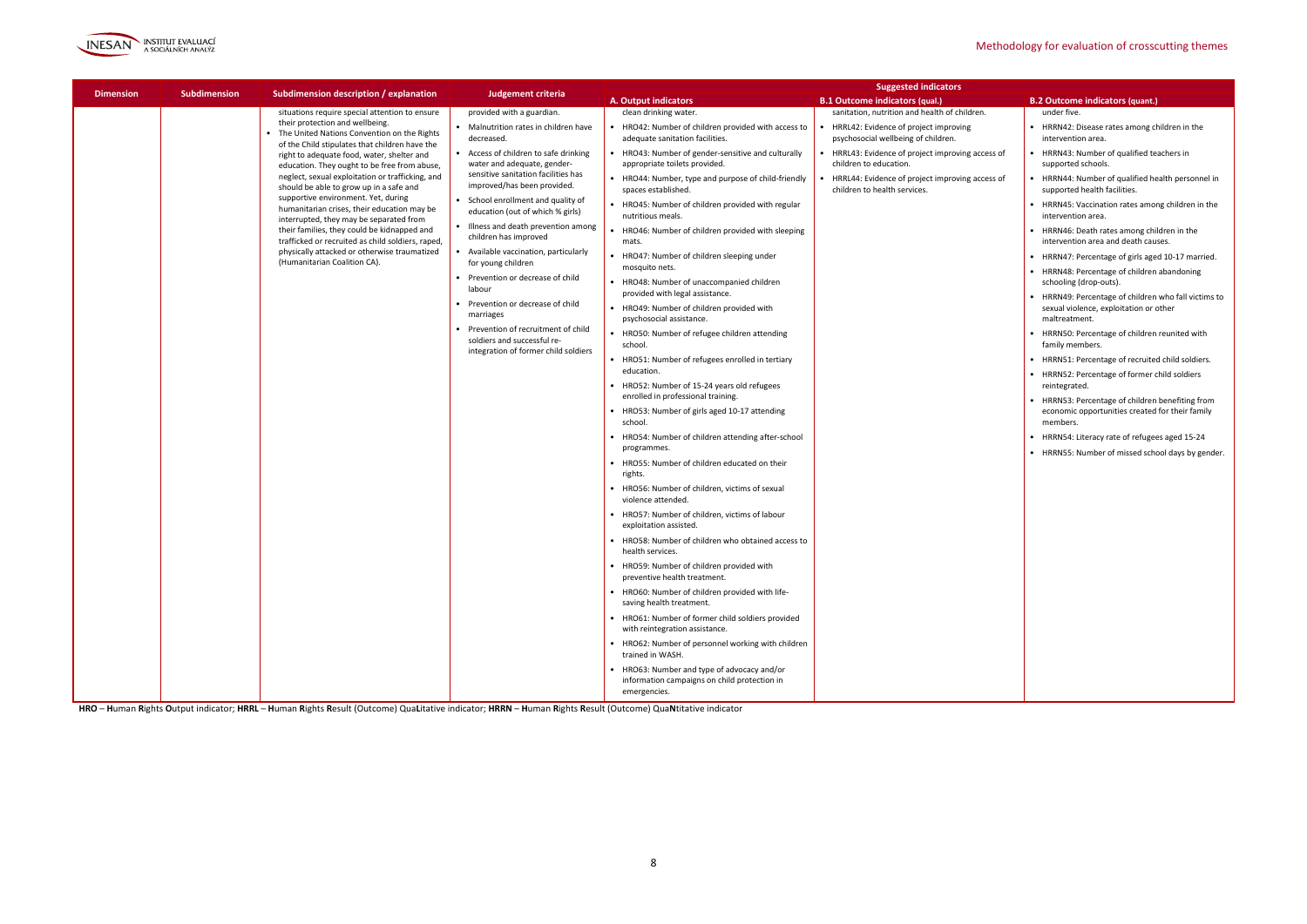

|                  |                     |                                                                                                                                                                                                                                                                                              |                                                                                                                   |                                                                                                             | <b>Suggested indicators</b>                                                          |                                                                              |                                                       |                                                     |
|------------------|---------------------|----------------------------------------------------------------------------------------------------------------------------------------------------------------------------------------------------------------------------------------------------------------------------------------------|-------------------------------------------------------------------------------------------------------------------|-------------------------------------------------------------------------------------------------------------|--------------------------------------------------------------------------------------|------------------------------------------------------------------------------|-------------------------------------------------------|-----------------------------------------------------|
| <b>Dimension</b> | <b>Subdimension</b> | Subdimension description / explanation                                                                                                                                                                                                                                                       | Judgement criteria                                                                                                | <b>A. Output indicators</b>                                                                                 | <b>B.1 Outcome indicators (qual.)</b>                                                | <b>B.2 Outcome indicators (quant.)</b>                                       |                                                       |                                                     |
|                  |                     | situations require special attention to ensure                                                                                                                                                                                                                                               | provided with a guardian.                                                                                         | clean drinking water.                                                                                       | sanitation, nutrition and health of children.                                        | under five.                                                                  |                                                       |                                                     |
|                  |                     | • The United Nations Convention on the Rights<br>of the Child stipulates that children have the<br>right to adequate food, water, shelter and<br>education. They ought to be free from abuse,<br>neglect, sexual exploitation or trafficking, and<br>should be able to grow up in a safe and | their protection and wellbeing.                                                                                   | Malnutrition rates in children have<br>decreased.                                                           | HRO42: Number of children provided with access to<br>adequate sanitation facilities. | HRRL42: Evidence of project improving<br>psychosocial wellbeing of children. | • HRRN42: Disease rates among c<br>intervention area. |                                                     |
|                  |                     |                                                                                                                                                                                                                                                                                              | • Access of children to safe drinking<br>water and adequate, gender-                                              | HRO43: Number of gender-sensitive and culturally<br>appropriate toilets provided.                           | HRRL43: Evidence of project improving access of<br>children to education.            | • HRRN43: Number of qualified te<br>supported schools.                       |                                                       |                                                     |
|                  |                     |                                                                                                                                                                                                                                                                                              | sensitive sanitation facilities has<br>improved/has been provided.                                                | • HRO44: Number, type and purpose of child-friendly<br>spaces established.                                  | HRRL44: Evidence of project improving access of<br>children to health services.      | • HRRN44: Number of qualified he<br>supported health facilities.             |                                                       |                                                     |
|                  |                     | supportive environment. Yet, during<br>humanitarian crises, their education may be<br>interrupted, they may be separated from                                                                                                                                                                | • School enrollment and quality of<br>education (out of which % girls)                                            | HRO45: Number of children provided with regular<br>nutritious meals.                                        |                                                                                      | • HRRN45: Vaccination rates amo<br>intervention area.                        |                                                       |                                                     |
|                  |                     | their families, they could be kidnapped and<br>trafficked or recruited as child soldiers, raped                                                                                                                                                                                              | • Illness and death prevention among<br>children has improved                                                     | HRO46: Number of children provided with sleeping<br>mats.                                                   |                                                                                      | • HRRN46: Death rates among chi<br>intervention area and death cau           |                                                       |                                                     |
|                  |                     | physically attacked or otherwise traumatized<br>(Humanitarian Coalition CA).                                                                                                                                                                                                                 | • Available vaccination, particularly<br>for young children                                                       | HRO47: Number of children sleeping under<br>mosquito nets.                                                  |                                                                                      | • HRRN47: Percentage of girls age<br>• HRRN48: Percentage of children        |                                                       |                                                     |
|                  |                     |                                                                                                                                                                                                                                                                                              | • Prevention or decrease of child<br>labour                                                                       | HRO48: Number of unaccompanied children<br>provided with legal assistance.                                  |                                                                                      | schooling (drop-outs).<br>HRRN49: Percentage of children                     |                                                       |                                                     |
|                  |                     | marriages<br>soldiers and successful re-                                                                                                                                                                                                                                                     | • Prevention or decrease of child<br>• Prevention of recruitment of child<br>integration of former child soldiers |                                                                                                             | • HRO49: Number of children provided with<br>psychosocial assistance.                |                                                                              | sexual violence, exploitation or<br>maltreatment.     |                                                     |
|                  |                     |                                                                                                                                                                                                                                                                                              |                                                                                                                   |                                                                                                             |                                                                                      | HRO50: Number of refugee children attending<br>school.                       |                                                       | • HRRN50: Percentage of children<br>family members. |
|                  |                     |                                                                                                                                                                                                                                                                                              |                                                                                                                   | HRO51: Number of refugees enrolled in tertiary<br>education.                                                |                                                                                      | • HRRN51: Percentage of recruite<br>• HRRN52: Percentage of former           |                                                       |                                                     |
|                  |                     |                                                                                                                                                                                                                                                                                              |                                                                                                                   | HRO52: Number of 15-24 years old refugees<br>enrolled in professional training.                             |                                                                                      | reintegrated.<br>• HRRN53: Percentage of children                            |                                                       |                                                     |
|                  |                     |                                                                                                                                                                                                                                                                                              |                                                                                                                   | HRO53: Number of girls aged 10-17 attending<br>school.                                                      |                                                                                      | economic opportunities created<br>members.                                   |                                                       |                                                     |
|                  |                     |                                                                                                                                                                                                                                                                                              |                                                                                                                   |                                                                                                             |                                                                                      | HRO54: Number of children attending after-school<br>programmes.              |                                                       | • HRRN54: Literacy rate of refuge                   |
|                  |                     |                                                                                                                                                                                                                                                                                              |                                                                                                                   | HRO55: Number of children educated on their<br>rights.                                                      |                                                                                      | • HRRN55: Number of missed sch                                               |                                                       |                                                     |
|                  |                     |                                                                                                                                                                                                                                                                                              |                                                                                                                   | HRO56: Number of children, victims of sexual<br>violence attended.                                          |                                                                                      |                                                                              |                                                       |                                                     |
|                  |                     |                                                                                                                                                                                                                                                                                              |                                                                                                                   | HRO57: Number of children, victims of labour<br>exploitation assisted.                                      |                                                                                      |                                                                              |                                                       |                                                     |
|                  |                     |                                                                                                                                                                                                                                                                                              |                                                                                                                   | HRO58: Number of children who obtained access to<br>health services.                                        |                                                                                      |                                                                              |                                                       |                                                     |
|                  |                     |                                                                                                                                                                                                                                                                                              |                                                                                                                   | HRO59: Number of children provided with<br>preventive health treatment.                                     |                                                                                      |                                                                              |                                                       |                                                     |
|                  |                     |                                                                                                                                                                                                                                                                                              | • HRO60: Number of children provided with life-<br>saving health treatment.                                       |                                                                                                             |                                                                                      |                                                                              |                                                       |                                                     |
|                  |                     |                                                                                                                                                                                                                                                                                              | • HRO61: Number of former child soldiers provided<br>with reintegration assistance.                               |                                                                                                             |                                                                                      |                                                                              |                                                       |                                                     |
|                  |                     |                                                                                                                                                                                                                                                                                              | • HRO62: Number of personnel working with children<br>trained in WASH.                                            |                                                                                                             |                                                                                      |                                                                              |                                                       |                                                     |
|                  |                     |                                                                                                                                                                                                                                                                                              |                                                                                                                   | • HRO63: Number and type of advocacy and/or<br>information campaigns on child protection in<br>emergencies. |                                                                                      |                                                                              |                                                       |                                                     |

HRO - Human Rights Output indicator; HRRL - Human Rights Result (Outcome) QuaLitative indicator; HRRN - Human Rights Result (Outcome) QuaNtitative indicator

|         | <b>B.2 Outcome indicators (quant.)</b>                                                                        |
|---------|---------------------------------------------------------------------------------------------------------------|
|         | under five.<br>HRRN42: Disease rates among children in the<br>intervention area.                              |
| ess of: | HRRN43: Number of qualified teachers in<br>supported schools.                                                 |
| ess of: | HRRN44: Number of qualified health personnel in<br>supported health facilities.                               |
|         | HRRN45: Vaccination rates among children in the<br>intervention area.                                         |
|         | HRRN46: Death rates among children in the<br>intervention area and death causes.                              |
|         | HRRN47: Percentage of girls aged 10-17 married.                                                               |
|         | HRRN48: Percentage of children abandoning<br>schooling (drop-outs).                                           |
|         | HRRN49: Percentage of children who fall victims to<br>sexual violence, exploitation or other<br>maltreatment. |
|         | HRRN50: Percentage of children reunited with<br>family members.                                               |
|         | HRRN51: Percentage of recruited child soldiers.                                                               |
|         | HRRN52: Percentage of former child soldiers<br>reintegrated.                                                  |
|         | HRRN53: Percentage of children benefiting from<br>economic opportunities created for their family<br>members. |
|         | HRRN54: Literacy rate of refugees aged 15-24                                                                  |
|         | HRRN55: Number of missed school days by gender.                                                               |
|         |                                                                                                               |
|         |                                                                                                               |
|         |                                                                                                               |
|         |                                                                                                               |
|         |                                                                                                               |
|         |                                                                                                               |
|         |                                                                                                               |
|         |                                                                                                               |
|         |                                                                                                               |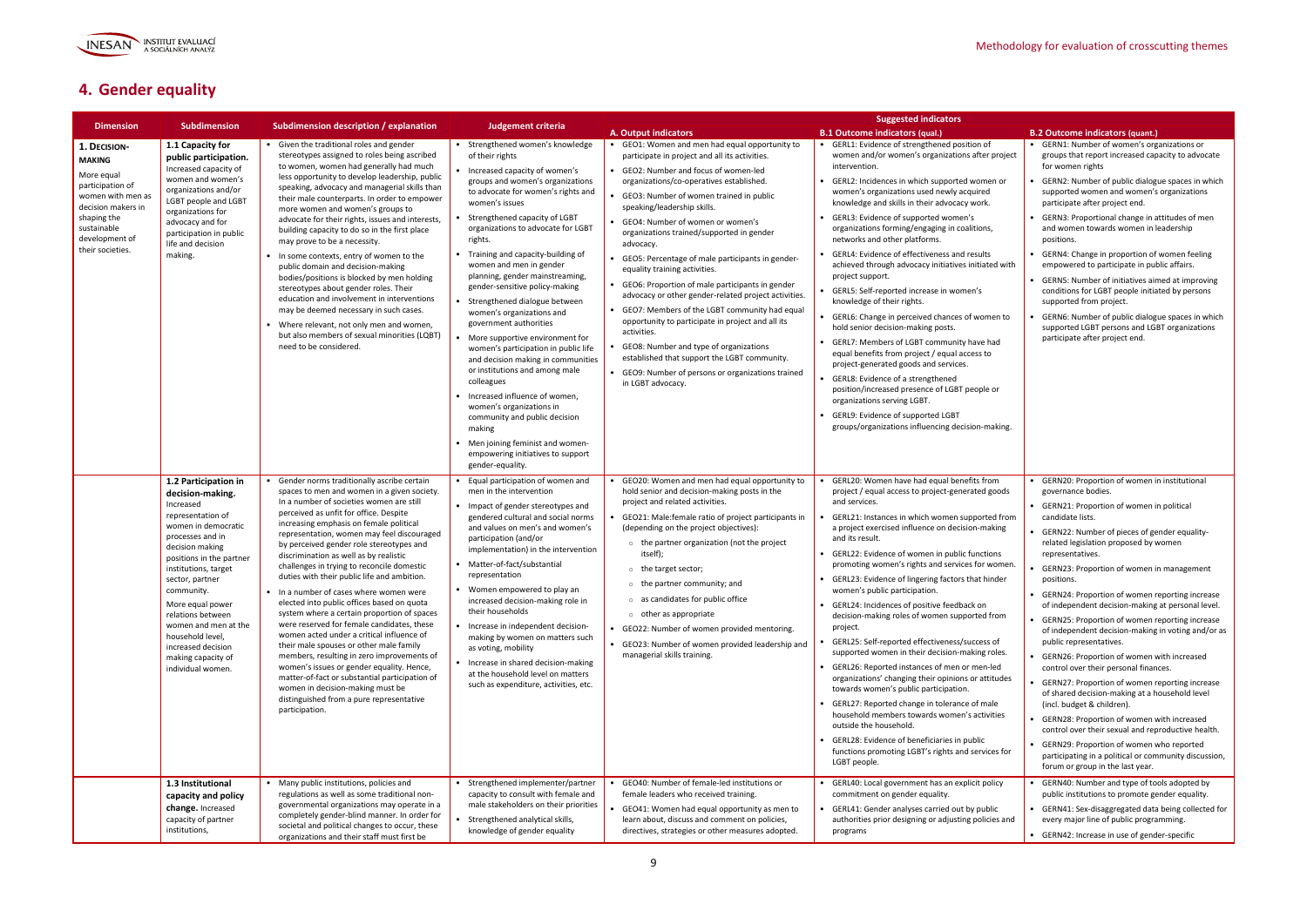

# **4. Gender equality**

|                                                                                                                                                                                |                                                                                                                                                                                                                                                                                                                                                                                     |                                                                                                                                                                                                                                                                                                                                                                                                                                                                                                                                                                                                                                                                                                                                                                                                                                                                                                                                                                                          |                                                                                                                                                                                                                                                                                                                                                                                                                                                                                                                                                                                                                                                                                                                                                                                                                                                    |                                                                                                                                                                                                                                                                                                                                                                                                                                                                                                                                                                                                                                                                                                                                                                                                                                                               | <b>Suggested indicators</b>                                                                                                                                                                                                                                                                                                                                                                                                                                                                                                                                                                                                                                                                                                                                                                                                                                                                                                                                                                                                                                |                                                                                                                                                                                                                                                                                                                                                                                                                                                                                                                                                                                                                                                                                                                                                                                                                                                                                                                                                                                                                                    |
|--------------------------------------------------------------------------------------------------------------------------------------------------------------------------------|-------------------------------------------------------------------------------------------------------------------------------------------------------------------------------------------------------------------------------------------------------------------------------------------------------------------------------------------------------------------------------------|------------------------------------------------------------------------------------------------------------------------------------------------------------------------------------------------------------------------------------------------------------------------------------------------------------------------------------------------------------------------------------------------------------------------------------------------------------------------------------------------------------------------------------------------------------------------------------------------------------------------------------------------------------------------------------------------------------------------------------------------------------------------------------------------------------------------------------------------------------------------------------------------------------------------------------------------------------------------------------------|----------------------------------------------------------------------------------------------------------------------------------------------------------------------------------------------------------------------------------------------------------------------------------------------------------------------------------------------------------------------------------------------------------------------------------------------------------------------------------------------------------------------------------------------------------------------------------------------------------------------------------------------------------------------------------------------------------------------------------------------------------------------------------------------------------------------------------------------------|---------------------------------------------------------------------------------------------------------------------------------------------------------------------------------------------------------------------------------------------------------------------------------------------------------------------------------------------------------------------------------------------------------------------------------------------------------------------------------------------------------------------------------------------------------------------------------------------------------------------------------------------------------------------------------------------------------------------------------------------------------------------------------------------------------------------------------------------------------------|------------------------------------------------------------------------------------------------------------------------------------------------------------------------------------------------------------------------------------------------------------------------------------------------------------------------------------------------------------------------------------------------------------------------------------------------------------------------------------------------------------------------------------------------------------------------------------------------------------------------------------------------------------------------------------------------------------------------------------------------------------------------------------------------------------------------------------------------------------------------------------------------------------------------------------------------------------------------------------------------------------------------------------------------------------|------------------------------------------------------------------------------------------------------------------------------------------------------------------------------------------------------------------------------------------------------------------------------------------------------------------------------------------------------------------------------------------------------------------------------------------------------------------------------------------------------------------------------------------------------------------------------------------------------------------------------------------------------------------------------------------------------------------------------------------------------------------------------------------------------------------------------------------------------------------------------------------------------------------------------------------------------------------------------------------------------------------------------------|
| <b>Dimension</b>                                                                                                                                                               | <b>Subdimension</b>                                                                                                                                                                                                                                                                                                                                                                 | Subdimension description / explanation                                                                                                                                                                                                                                                                                                                                                                                                                                                                                                                                                                                                                                                                                                                                                                                                                                                                                                                                                   | Judgement criteria                                                                                                                                                                                                                                                                                                                                                                                                                                                                                                                                                                                                                                                                                                                                                                                                                                 | <b>A. Output indicators</b>                                                                                                                                                                                                                                                                                                                                                                                                                                                                                                                                                                                                                                                                                                                                                                                                                                   | <b>B.1 Outcome indicators (qual.)</b>                                                                                                                                                                                                                                                                                                                                                                                                                                                                                                                                                                                                                                                                                                                                                                                                                                                                                                                                                                                                                      | <b>B.2 Outcome indicators (quant.)</b>                                                                                                                                                                                                                                                                                                                                                                                                                                                                                                                                                                                                                                                                                                                                                                                                                                                                                                                                                                                             |
| 1. DECISION-<br><b>MAKING</b><br>More equal<br>participation of<br>women with men as<br>decision makers in<br>shaping the<br>sustainable<br>development of<br>their societies. | 1.1 Capacity for<br>public participation.<br>Increased capacity of<br>women and women's<br>organizations and/or<br><b>LGBT</b> people and LGBT<br>organizations for<br>advocacy and for<br>participation in public<br>life and decision<br>making.                                                                                                                                  | • Given the traditional roles and gender<br>stereotypes assigned to roles being ascribed<br>to women, women had generally had much<br>less opportunity to develop leadership, public<br>speaking, advocacy and managerial skills than<br>their male counterparts. In order to empower<br>more women and women's groups to<br>advocate for their rights, issues and interests,<br>building capacity to do so in the first place<br>may prove to be a necessity.<br>• In some contexts, entry of women to the<br>public domain and decision-making<br>bodies/positions is blocked by men holding<br>stereotypes about gender roles. Their<br>education and involvement in interventions<br>may be deemed necessary in such cases.<br>Where relevant, not only men and women,<br>but also members of sexual minorities (LQBT)<br>need to be considered.                                                                                                                                     | • Strengthened women's knowledge<br>of their rights<br>Increased capacity of women's<br>groups and women's organizations<br>to advocate for women's rights and<br>women's issues<br>Strengthened capacity of LGBT<br>organizations to advocate for LGBT<br>rights.<br>• Training and capacity-building of<br>women and men in gender<br>planning, gender mainstreaming,<br>gender-sensitive policy-making<br>Strengthened dialogue between<br>women's organizations and<br>government authorities<br>More supportive environment for<br>women's participation in public life<br>and decision making in communities<br>or institutions and among male<br>colleagues<br>Increased influence of women.<br>women's organizations in<br>community and public decision<br>making<br>Men joining feminist and women-<br>empowering initiatives to support | • GEO1: Women and men had equal opportunity to<br>participate in project and all its activities.<br>GEO2: Number and focus of women-led<br>organizations/co-operatives established.<br>GEO3: Number of women trained in public<br>speaking/leadership skills.<br>• GEO4: Number of women or women's<br>organizations trained/supported in gender<br>advocacy.<br>• GEO5: Percentage of male participants in gender-<br>equality training activities.<br>• GEO6: Proportion of male participants in gender<br>advocacy or other gender-related project activities.<br>• GEO7: Members of the LGBT community had equal<br>opportunity to participate in project and all its<br>activities.<br>GEO8: Number and type of organizations<br>established that support the LGBT community.<br>• GEO9: Number of persons or organizations trained<br>in LGBT advocacy. | • GERL1: Evidence of strengthened position of<br>women and/or women's organizations after project<br>intervention.<br>GERL2: Incidences in which supported women or<br>women's organizations used newly acquired<br>knowledge and skills in their advocacy work.<br>GERL3: Evidence of supported women's<br>organizations forming/engaging in coalitions,<br>networks and other platforms.<br>GERL4: Evidence of effectiveness and results<br>achieved through advocacy initiatives initiated with<br>project support.<br>GERL5: Self-reported increase in women's<br>knowledge of their rights.<br>GERL6: Change in perceived chances of women to<br>hold senior decision-making posts.<br>GERL7: Members of LGBT community have had<br>equal benefits from project / equal access to<br>project-generated goods and services.<br>GERL8: Evidence of a strengthened<br>position/increased presence of LGBT people or<br>organizations serving LGBT.<br>GERL9: Evidence of supported LGBT<br>groups/organizations influencing decision-making.             | • GERN1: Number of women's organizations or<br>groups that report increased capacity to advocate<br>for women rights<br>GERN2: Number of public dialogue spaces in which<br>supported women and women's organizations<br>participate after project end.<br>• GERN3: Proportional change in attitudes of men<br>and women towards women in leadership<br>positions.<br>GERN4: Change in proportion of women feeling<br>empowered to participate in public affairs.<br>• GERN5: Number of initiatives aimed at improving<br>conditions for LGBT people initiated by persons<br>supported from project.<br>GERN6: Number of public dialogue spaces in which<br>supported LGBT persons and LGBT organizations<br>participate after project end.                                                                                                                                                                                                                                                                                        |
|                                                                                                                                                                                | 1.2 Participation in<br>decision-making.<br>Increased<br>representation of<br>women in democratic<br>processes and in<br>decision making<br>positions in the partner<br>institutions, target<br>sector, partner<br>community.<br>More equal power<br>relations between<br>women and men at the<br>household level,<br>increased decision<br>making capacity of<br>individual women. | Gender norms traditionally ascribe certain<br>spaces to men and women in a given society.<br>In a number of societies women are still<br>perceived as unfit for office. Despite<br>increasing emphasis on female political<br>representation, women may feel discouraged<br>by perceived gender role stereotypes and<br>discrimination as well as by realistic<br>challenges in trying to reconcile domestic<br>duties with their public life and ambition.<br>• In a number of cases where women were<br>elected into public offices based on quota<br>system where a certain proportion of spaces<br>were reserved for female candidates, these<br>women acted under a critical influence of<br>their male spouses or other male family<br>members, resulting in zero improvements of<br>women's issues or gender equality. Hence,<br>matter-of-fact or substantial participation of<br>women in decision-making must be<br>distinguished from a pure representative<br>participation. | gender-equality.<br>Equal participation of women and<br>men in the intervention<br>• Impact of gender stereotypes and<br>gendered cultural and social norms<br>and values on men's and women's<br>participation (and/or<br>implementation) in the intervention<br>• Matter-of-fact/substantial<br>representation<br>• Women empowered to play an<br>increased decision-making role in<br>their households<br>• Increase in independent decision-<br>making by women on matters such<br>as voting, mobility<br>• Increase in shared decision-making<br>at the household level on matters<br>such as expenditure, activities, etc.                                                                                                                                                                                                                   | GEO20: Women and men had equal opportunity to<br>hold senior and decision-making posts in the<br>project and related activities.<br>GEO21: Male: female ratio of project participants in<br>(depending on the project objectives):<br>$\circ$ the partner organization (not the project<br>itself);<br>o the target sector;<br>$\circ$ the partner community; and<br>$\circ$ as candidates for public office<br>$\circ$ other as appropriate<br>GEO22: Number of women provided mentoring.<br>• GEO23: Number of women provided leadership and<br>managerial skills training.                                                                                                                                                                                                                                                                                 | GERL20: Women have had equal benefits from<br>project / equal access to project-generated goods<br>and services.<br>GERL21: Instances in which women supported from<br>a project exercised influence on decision-making<br>and its result.<br>GERL22: Evidence of women in public functions<br>promoting women's rights and services for women.<br>• GERL23: Evidence of lingering factors that hinder<br>women's public participation.<br>• GERL24: Incidences of positive feedback on<br>decision-making roles of women supported from<br>project.<br>GERL25: Self-reported effectiveness/success of<br>supported women in their decision-making roles.<br>• GERL26: Reported instances of men or men-led<br>organizations' changing their opinions or attitudes<br>towards women's public participation.<br>GERL27: Reported change in tolerance of male<br>household members towards women's activities<br>outside the household.<br>GERL28: Evidence of beneficiaries in public<br>functions promoting LGBT's rights and services for<br>LGBT people. | GERN20: Proportion of women in institutional<br>governance bodies.<br>• GERN21: Proportion of women in political<br>candidate lists.<br>GERN22: Number of pieces of gender equality-<br>related legislation proposed by women<br>representatives.<br>GERN23: Proportion of women in management<br>positions.<br>• GERN24: Proportion of women reporting increase<br>of independent decision-making at personal level.<br>• GERN25: Proportion of women reporting increase<br>of independent decision-making in voting and/or as<br>public representatives.<br>GERN26: Proportion of women with increased<br>control over their personal finances.<br>GERN27: Proportion of women reporting increase<br>of shared decision-making at a household level<br>(incl. budget & children).<br>• GERN28: Proportion of women with increased<br>control over their sexual and reproductive health.<br>GERN29: Proportion of women who reported<br>participating in a political or community discussion,<br>forum or group in the last year. |
|                                                                                                                                                                                | 1.3 Institutional<br>capacity and policy<br>change. Increased<br>capacity of partner<br>institutions,                                                                                                                                                                                                                                                                               | • Many public institutions, policies and<br>regulations as well as some traditional non-<br>governmental organizations may operate in a<br>completely gender-blind manner. In order for<br>societal and political changes to occur, these<br>organizations and their staff must first be                                                                                                                                                                                                                                                                                                                                                                                                                                                                                                                                                                                                                                                                                                 | • Strengthened implementer/partner<br>capacity to consult with female and<br>male stakeholders on their priorities<br>• Strengthened analytical skills,<br>knowledge of gender equality                                                                                                                                                                                                                                                                                                                                                                                                                                                                                                                                                                                                                                                            | GEO40: Number of female-led institutions or<br>female leaders who received training.<br>GEO41: Women had equal opportunity as men to<br>learn about, discuss and comment on policies,<br>directives, strategies or other measures adopted.                                                                                                                                                                                                                                                                                                                                                                                                                                                                                                                                                                                                                    | GERL40: Local government has an explicit policy<br>commitment on gender equality.<br>GERL41: Gender analyses carried out by public<br>authorities prior designing or adjusting policies and<br>programs                                                                                                                                                                                                                                                                                                                                                                                                                                                                                                                                                                                                                                                                                                                                                                                                                                                    | GERN40: Number and type of tools adopted by<br>public institutions to promote gender equality.<br>GERN41: Sex-disaggregated data being collected for<br>every major line of public programming.<br>• GERN42: Increase in use of gender-specific                                                                                                                                                                                                                                                                                                                                                                                                                                                                                                                                                                                                                                                                                                                                                                                    |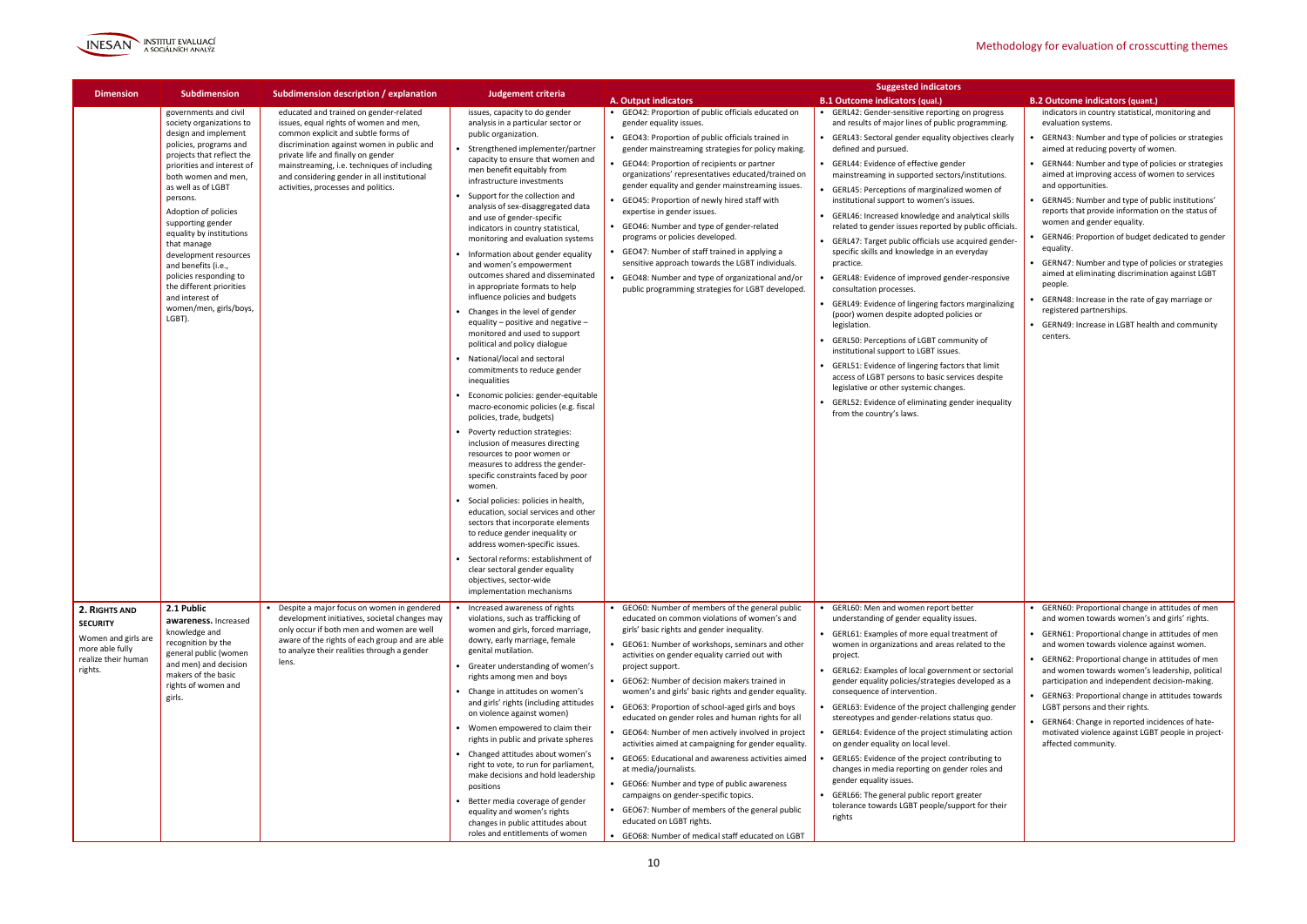

|                                                                                                              |                                                                                                                                                                                                                                                                                                                                                                                                                                                                              |                                                                                                                                                                                                                                                                                                                                                  |                                                                                                                                                                                                                                                                                                                                                                                                                                                                                                                                                                                                                                                                                                                                                                                                                                                                                                                                                                                                                                                                                                                                                                                                                                                                                                                                                                                                                                                      |                                                                                                                                                                                                                                                                                                                                                                                                                                                                                                                                                                                                                                                                                                                                                                                                                                                                                                                     | <b>Suggested indicators</b>                                                                                                                                                                                                                                                                                                                                                                                                                                                                                                                                                                                                                                                                                                                                                                                                                                                                                                                                                                                                                                                                                                                                |                                                                                                                                                                                                                                                                                                                                                                                                                                                                                                                                                                                                                                                                                                                                                                          |
|--------------------------------------------------------------------------------------------------------------|------------------------------------------------------------------------------------------------------------------------------------------------------------------------------------------------------------------------------------------------------------------------------------------------------------------------------------------------------------------------------------------------------------------------------------------------------------------------------|--------------------------------------------------------------------------------------------------------------------------------------------------------------------------------------------------------------------------------------------------------------------------------------------------------------------------------------------------|------------------------------------------------------------------------------------------------------------------------------------------------------------------------------------------------------------------------------------------------------------------------------------------------------------------------------------------------------------------------------------------------------------------------------------------------------------------------------------------------------------------------------------------------------------------------------------------------------------------------------------------------------------------------------------------------------------------------------------------------------------------------------------------------------------------------------------------------------------------------------------------------------------------------------------------------------------------------------------------------------------------------------------------------------------------------------------------------------------------------------------------------------------------------------------------------------------------------------------------------------------------------------------------------------------------------------------------------------------------------------------------------------------------------------------------------------|---------------------------------------------------------------------------------------------------------------------------------------------------------------------------------------------------------------------------------------------------------------------------------------------------------------------------------------------------------------------------------------------------------------------------------------------------------------------------------------------------------------------------------------------------------------------------------------------------------------------------------------------------------------------------------------------------------------------------------------------------------------------------------------------------------------------------------------------------------------------------------------------------------------------|------------------------------------------------------------------------------------------------------------------------------------------------------------------------------------------------------------------------------------------------------------------------------------------------------------------------------------------------------------------------------------------------------------------------------------------------------------------------------------------------------------------------------------------------------------------------------------------------------------------------------------------------------------------------------------------------------------------------------------------------------------------------------------------------------------------------------------------------------------------------------------------------------------------------------------------------------------------------------------------------------------------------------------------------------------------------------------------------------------------------------------------------------------|--------------------------------------------------------------------------------------------------------------------------------------------------------------------------------------------------------------------------------------------------------------------------------------------------------------------------------------------------------------------------------------------------------------------------------------------------------------------------------------------------------------------------------------------------------------------------------------------------------------------------------------------------------------------------------------------------------------------------------------------------------------------------|
| <b>Dimension</b>                                                                                             | <b>Subdimension</b>                                                                                                                                                                                                                                                                                                                                                                                                                                                          | Subdimension description / explanation                                                                                                                                                                                                                                                                                                           | <b>Judgement criteria</b>                                                                                                                                                                                                                                                                                                                                                                                                                                                                                                                                                                                                                                                                                                                                                                                                                                                                                                                                                                                                                                                                                                                                                                                                                                                                                                                                                                                                                            | A. Output indicators                                                                                                                                                                                                                                                                                                                                                                                                                                                                                                                                                                                                                                                                                                                                                                                                                                                                                                | <b>B.1 Outcome indicators (qual.)</b>                                                                                                                                                                                                                                                                                                                                                                                                                                                                                                                                                                                                                                                                                                                                                                                                                                                                                                                                                                                                                                                                                                                      | <b>B.2 Outcome indicators (quant.)</b>                                                                                                                                                                                                                                                                                                                                                                                                                                                                                                                                                                                                                                                                                                                                   |
|                                                                                                              | governments and civil<br>society organizations to<br>design and implement<br>policies, programs and<br>projects that reflect the<br>priorities and interest of<br>both women and men,<br>as well as of LGBT<br>persons.<br>Adoption of policies<br>supporting gender<br>equality by institutions<br>that manage<br>development resources<br>and benefits (i.e.,<br>policies responding to<br>the different priorities<br>and interest of<br>women/men, girls/boys,<br>LGBT). | educated and trained on gender-related<br>issues, equal rights of women and men,<br>common explicit and subtle forms of<br>discrimination against women in public and<br>private life and finally on gender<br>mainstreaming, i.e. techniques of including<br>and considering gender in all institutional<br>activities, processes and politics. | issues, capacity to do gender<br>analysis in a particular sector or<br>public organization.<br>• Strengthened implementer/partner<br>capacity to ensure that women and<br>men benefit equitably from<br>infrastructure investments<br>Support for the collection and<br>analysis of sex-disaggregated data<br>and use of gender-specific<br>indicators in country statistical,<br>monitoring and evaluation systems<br>• Information about gender equality<br>and women's empowerment<br>outcomes shared and disseminated<br>in appropriate formats to help<br>influence policies and budgets<br>Changes in the level of gender<br>equality – positive and negative –<br>monitored and used to support<br>political and policy dialogue<br>• National/local and sectoral<br>commitments to reduce gender<br>inequalities<br>Economic policies: gender-equitable<br>macro-economic policies (e.g. fiscal<br>policies, trade, budgets)<br>Poverty reduction strategies:<br>inclusion of measures directing<br>resources to poor women or<br>measures to address the gender-<br>specific constraints faced by poor<br>women.<br>Social policies: policies in health,<br>education, social services and other<br>sectors that incorporate elements<br>to reduce gender inequality or<br>address women-specific issues.<br>• Sectoral reforms: establishment of<br>clear sectoral gender equality<br>objectives, sector-wide<br>implementation mechanisms | • GEO42: Proportion of public officials educated on<br>gender equality issues.<br>• GEO43: Proportion of public officials trained in<br>gender mainstreaming strategies for policy making.<br>• GEO44: Proportion of recipients or partner<br>organizations' representatives educated/trained on<br>gender equality and gender mainstreaming issues.<br>• GEO45: Proportion of newly hired staff with<br>expertise in gender issues.<br>• GEO46: Number and type of gender-related<br>programs or policies developed.<br>GEO47: Number of staff trained in applying a<br>sensitive approach towards the LGBT individuals.<br>GEO48: Number and type of organizational and/or<br>public programming strategies for LGBT developed.                                                                                                                                                                                   | • GERL42: Gender-sensitive reporting on progress<br>and results of major lines of public programming.<br>• GERL43: Sectoral gender equality objectives clearly<br>defined and pursued.<br>• GERL44: Evidence of effective gender<br>mainstreaming in supported sectors/institutions.<br>• GERL45: Perceptions of marginalized women of<br>institutional support to women's issues.<br>• GERL46: Increased knowledge and analytical skills<br>related to gender issues reported by public officials.<br>• GERL47: Target public officials use acquired gender-<br>specific skills and knowledge in an everyday<br>practice.<br>GERL48: Evidence of improved gender-responsive<br>consultation processes.<br>• GERL49: Evidence of lingering factors marginalizing<br>(poor) women despite adopted policies or<br>legislation.<br>• GERL50: Perceptions of LGBT community of<br>institutional support to LGBT issues.<br>• GERL51: Evidence of lingering factors that limit<br>access of LGBT persons to basic services despite<br>legislative or other systemic changes.<br>• GERL52: Evidence of eliminating gender inequality<br>from the country's laws. | indicators in country statistical, monitoring and<br>evaluation systems.<br>GERN43: Number and type of policies or strategies<br>aimed at reducing poverty of women.<br>GERN44: Number and type of policies or strategies<br>aimed at improving access of women to services<br>and opportunities.<br>GERN45: Number and type of public institutions'<br>reports that provide information on the status of<br>women and gender equality.<br>GERN46: Proportion of budget dedicated to gender<br>equality.<br>GERN47: Number and type of policies or strategies<br>aimed at eliminating discrimination against LGBT<br>people.<br>GERN48: Increase in the rate of gay marriage or<br>registered partnerships.<br>GERN49: Increase in LGBT health and community<br>centers. |
| 2. RIGHTS AND<br><b>SECURITY</b><br>Women and girls are<br>more able fully<br>realize their human<br>rights. | 2.1 Public<br>awareness, Increased<br>knowledge and<br>recognition by the<br>general public (women<br>and men) and decision<br>makers of the basic<br>rights of women and<br>girls.                                                                                                                                                                                                                                                                                          | Despite a major focus on women in gendered<br>development initiatives, societal changes may<br>only occur if both men and women are well<br>aware of the rights of each group and are able<br>to analyze their realities through a gender<br>lens.                                                                                               | Increased awareness of rights<br>violations, such as trafficking of<br>women and girls, forced marriage,<br>dowry, early marriage, female<br>genital mutilation.<br>• Greater understanding of women's<br>rights among men and boys<br>• Change in attitudes on women's<br>and girls' rights (including attitudes<br>on violence against women)<br>• Women empowered to claim their<br>rights in public and private spheres<br>Changed attitudes about women's<br>right to vote, to run for parliament,<br>make decisions and hold leadership<br>positions<br>Better media coverage of gender<br>equality and women's rights<br>changes in public attitudes about<br>roles and entitlements of women                                                                                                                                                                                                                                                                                                                                                                                                                                                                                                                                                                                                                                                                                                                                                 | GEO60: Number of members of the general public<br>educated on common violations of women's and<br>girls' basic rights and gender inequality.<br>• GEO61: Number of workshops, seminars and other<br>activities on gender equality carried out with<br>project support.<br>• GEO62: Number of decision makers trained in<br>women's and girls' basic rights and gender equality.<br>GEO63: Proportion of school-aged girls and boys<br>educated on gender roles and human rights for all<br>• GEO64: Number of men actively involved in project<br>activities aimed at campaigning for gender equality.<br>• GEO65: Educational and awareness activities aimed<br>at media/journalists.<br>• GEO66: Number and type of public awareness<br>campaigns on gender-specific topics.<br>• GEO67: Number of members of the general public<br>educated on LGBT rights.<br>• GEO68: Number of medical staff educated on LGBT | GERL60: Men and women report better<br>understanding of gender equality issues.<br>• GERL61: Examples of more equal treatment of<br>women in organizations and areas related to the<br>project.<br>• GERL62: Examples of local government or sectorial<br>gender equality policies/strategies developed as a<br>consequence of intervention.<br>• GERL63: Evidence of the project challenging gender<br>stereotypes and gender-relations status quo.<br>GERL64: Evidence of the project stimulating action<br>on gender equality on local level.<br>GERL65: Evidence of the project contributing to<br>changes in media reporting on gender roles and<br>gender equality issues.<br>• GERL66: The general public report greater<br>tolerance towards LGBT people/support for their<br>rights                                                                                                                                                                                                                                                                                                                                                               | GERN60: Proportional change in attitudes of men<br>and women towards women's and girls' rights.<br>GERN61: Proportional change in attitudes of men<br>and women towards violence against women.<br>GERN62: Proportional change in attitudes of men<br>and women towards women's leadership, political<br>participation and independent decision-making.<br>GERN63: Proportional change in attitudes towards<br>LGBT persons and their rights.<br>GERN64: Change in reported incidences of hate-<br>motivated violence against LGBT people in project-<br>affected community.                                                                                                                                                                                             |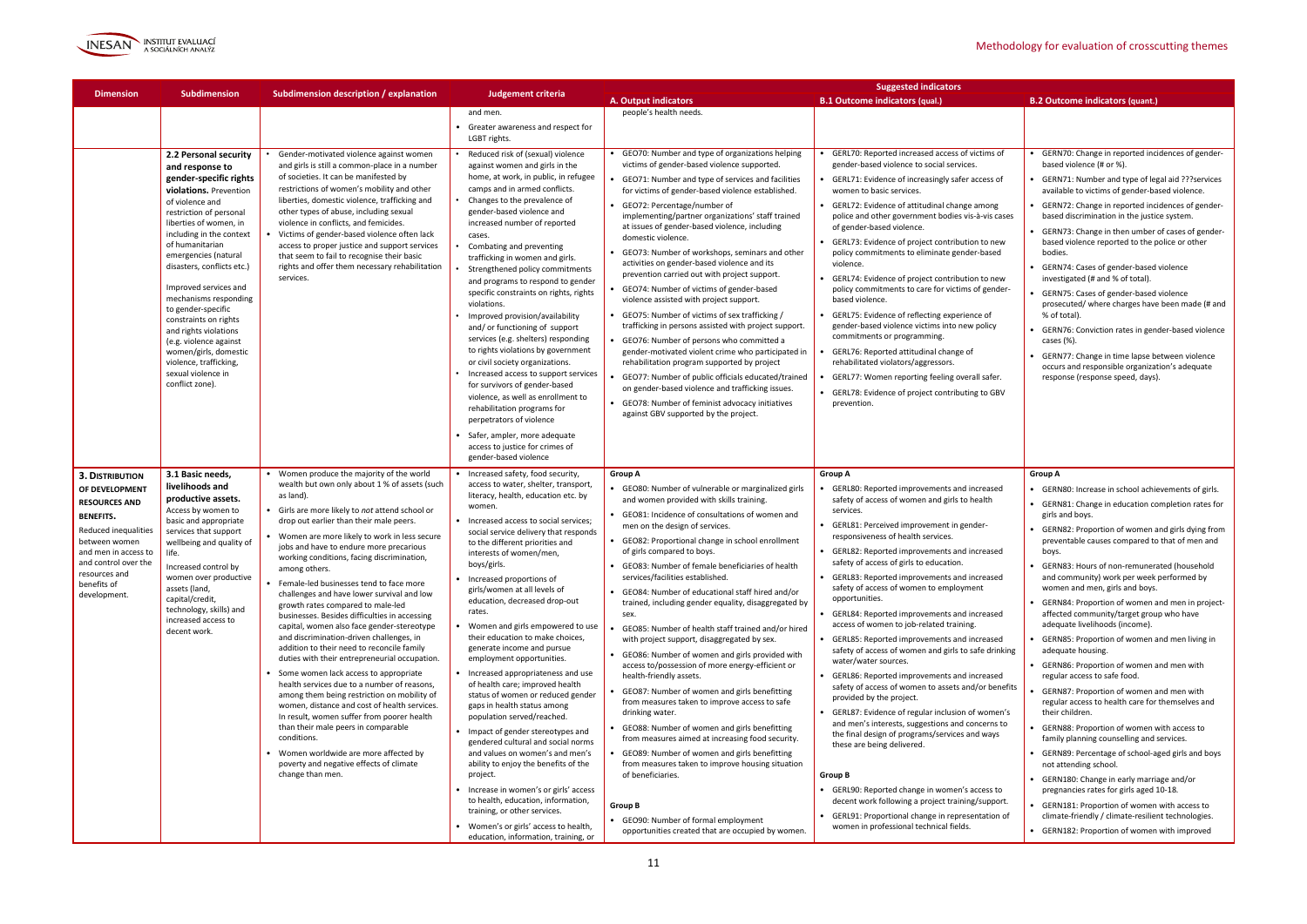

|                                                                                                                                                                                                                               |                                                                                                                                                                                                                                                                                                                                                                                                                                                                                                                           |                                                                                                                                                                                                                                                                                                                                                                                                                                                                                                                                                                                                                                                                                                                                                                                                                                                                                                                                                                                                                                                                                                                                         |                                                                                                                                                                                                                                                                                                                                                                                                                                                                                                                                                                                                                                                                                                                                                                                                                                                                                                                                                                                                                                                 |                                                                                                                                                                                                                                                                                                                                                                                                                                                                                                                                                                                                                                                                                                                                                                                                                                                                                                                                                                                                                                                                                                                                                                                                                  | <b>Suggested indicators</b>                                                                                                                                                                                                                                                                                                                                                                                                                                                                                                                                                                                                                                                                                                                                                                                                                                                                                                                                                                                                                                                                                                                                                                        |                                                                                                                                                                                                                                                                                                                                                                                                                                                                                                                                                                                                                                                                                                                                                                                                                                                                                                                                                                                                                                                                                                                                                                                                                           |
|-------------------------------------------------------------------------------------------------------------------------------------------------------------------------------------------------------------------------------|---------------------------------------------------------------------------------------------------------------------------------------------------------------------------------------------------------------------------------------------------------------------------------------------------------------------------------------------------------------------------------------------------------------------------------------------------------------------------------------------------------------------------|-----------------------------------------------------------------------------------------------------------------------------------------------------------------------------------------------------------------------------------------------------------------------------------------------------------------------------------------------------------------------------------------------------------------------------------------------------------------------------------------------------------------------------------------------------------------------------------------------------------------------------------------------------------------------------------------------------------------------------------------------------------------------------------------------------------------------------------------------------------------------------------------------------------------------------------------------------------------------------------------------------------------------------------------------------------------------------------------------------------------------------------------|-------------------------------------------------------------------------------------------------------------------------------------------------------------------------------------------------------------------------------------------------------------------------------------------------------------------------------------------------------------------------------------------------------------------------------------------------------------------------------------------------------------------------------------------------------------------------------------------------------------------------------------------------------------------------------------------------------------------------------------------------------------------------------------------------------------------------------------------------------------------------------------------------------------------------------------------------------------------------------------------------------------------------------------------------|------------------------------------------------------------------------------------------------------------------------------------------------------------------------------------------------------------------------------------------------------------------------------------------------------------------------------------------------------------------------------------------------------------------------------------------------------------------------------------------------------------------------------------------------------------------------------------------------------------------------------------------------------------------------------------------------------------------------------------------------------------------------------------------------------------------------------------------------------------------------------------------------------------------------------------------------------------------------------------------------------------------------------------------------------------------------------------------------------------------------------------------------------------------------------------------------------------------|----------------------------------------------------------------------------------------------------------------------------------------------------------------------------------------------------------------------------------------------------------------------------------------------------------------------------------------------------------------------------------------------------------------------------------------------------------------------------------------------------------------------------------------------------------------------------------------------------------------------------------------------------------------------------------------------------------------------------------------------------------------------------------------------------------------------------------------------------------------------------------------------------------------------------------------------------------------------------------------------------------------------------------------------------------------------------------------------------------------------------------------------------------------------------------------------------|---------------------------------------------------------------------------------------------------------------------------------------------------------------------------------------------------------------------------------------------------------------------------------------------------------------------------------------------------------------------------------------------------------------------------------------------------------------------------------------------------------------------------------------------------------------------------------------------------------------------------------------------------------------------------------------------------------------------------------------------------------------------------------------------------------------------------------------------------------------------------------------------------------------------------------------------------------------------------------------------------------------------------------------------------------------------------------------------------------------------------------------------------------------------------------------------------------------------------|
| <b>Dimension</b>                                                                                                                                                                                                              | <b>Subdimension</b>                                                                                                                                                                                                                                                                                                                                                                                                                                                                                                       | Subdimension description / explanation                                                                                                                                                                                                                                                                                                                                                                                                                                                                                                                                                                                                                                                                                                                                                                                                                                                                                                                                                                                                                                                                                                  | Judgement criteria                                                                                                                                                                                                                                                                                                                                                                                                                                                                                                                                                                                                                                                                                                                                                                                                                                                                                                                                                                                                                              | A. Output indicators                                                                                                                                                                                                                                                                                                                                                                                                                                                                                                                                                                                                                                                                                                                                                                                                                                                                                                                                                                                                                                                                                                                                                                                             | <b>B.1 Outcome indicators (qual.)</b>                                                                                                                                                                                                                                                                                                                                                                                                                                                                                                                                                                                                                                                                                                                                                                                                                                                                                                                                                                                                                                                                                                                                                              | <b>B.2 Outcome indicators (quant.)</b>                                                                                                                                                                                                                                                                                                                                                                                                                                                                                                                                                                                                                                                                                                                                                                                                                                                                                                                                                                                                                                                                                                                                                                                    |
|                                                                                                                                                                                                                               |                                                                                                                                                                                                                                                                                                                                                                                                                                                                                                                           |                                                                                                                                                                                                                                                                                                                                                                                                                                                                                                                                                                                                                                                                                                                                                                                                                                                                                                                                                                                                                                                                                                                                         | and men.<br>Greater awareness and respect for<br>LGBT rights.                                                                                                                                                                                                                                                                                                                                                                                                                                                                                                                                                                                                                                                                                                                                                                                                                                                                                                                                                                                   | people's health needs                                                                                                                                                                                                                                                                                                                                                                                                                                                                                                                                                                                                                                                                                                                                                                                                                                                                                                                                                                                                                                                                                                                                                                                            |                                                                                                                                                                                                                                                                                                                                                                                                                                                                                                                                                                                                                                                                                                                                                                                                                                                                                                                                                                                                                                                                                                                                                                                                    |                                                                                                                                                                                                                                                                                                                                                                                                                                                                                                                                                                                                                                                                                                                                                                                                                                                                                                                                                                                                                                                                                                                                                                                                                           |
|                                                                                                                                                                                                                               | 2.2 Personal security<br>and response to<br>gender-specific rights<br>violations. Prevention<br>of violence and<br>restriction of personal<br>liberties of women, in<br>including in the context<br>of humanitarian<br>emergencies (natural<br>disasters, conflicts etc.)<br>Improved services and<br>mechanisms responding<br>to gender-specific<br>constraints on rights<br>and rights violations<br>(e.g. violence against<br>women/girls, domestic<br>violence, trafficking,<br>sexual violence in<br>conflict zone). | Gender-motivated violence against women<br>and girls is still a common-place in a number<br>of societies. It can be manifested by<br>restrictions of women's mobility and other<br>liberties, domestic violence, trafficking and<br>other types of abuse, including sexual<br>violence in conflicts, and femicides.<br>Victims of gender-based violence often lack<br>access to proper justice and support services<br>that seem to fail to recognise their basic<br>rights and offer them necessary rehabilitation<br>services.                                                                                                                                                                                                                                                                                                                                                                                                                                                                                                                                                                                                        | Reduced risk of (sexual) violence<br>against women and girls in the<br>home, at work, in public, in refugee<br>camps and in armed conflicts.<br>Changes to the prevalence of<br>gender-based violence and<br>increased number of reported<br>cases.<br>Combating and preventing<br>trafficking in women and girls.<br>Strengthened policy commitments<br>and programs to respond to gender<br>specific constraints on rights, rights<br>violations.<br>Improved provision/availability<br>and/or functioning of support<br>services (e.g. shelters) responding<br>to rights violations by government<br>or civil society organizations.<br>Increased access to support services<br>for survivors of gender-based<br>violence, as well as enrollment to<br>rehabilitation programs for<br>perpetrators of violence<br>Safer, ampler, more adequate<br>access to justice for crimes of<br>gender-based violence                                                                                                                                   | GEO70: Number and type of organizations helping<br>victims of gender-based violence supported.<br>GEO71: Number and type of services and facilities<br>for victims of gender-based violence established.<br>• GEO72: Percentage/number of<br>implementing/partner organizations' staff trained<br>at issues of gender-based violence, including<br>domestic violence.<br>• GEO73: Number of workshops, seminars and other<br>activities on gender-based violence and its<br>prevention carried out with project support.<br>GEO74: Number of victims of gender-based<br>violence assisted with project support.<br>• GEO75: Number of victims of sex trafficking /<br>trafficking in persons assisted with project support.<br>• GEO76: Number of persons who committed a<br>gender-motivated violent crime who participated in<br>rehabilitation program supported by project<br>GEO77: Number of public officials educated/trained<br>on gender-based violence and trafficking issues.<br>• GEO78: Number of feminist advocacy initiatives<br>against GBV supported by the project.                                                                                                                            | GERL70: Reported increased access of victims of<br>gender-based violence to social services.<br>GERL71: Evidence of increasingly safer access of<br>women to basic services.<br>• GERL72: Evidence of attitudinal change among<br>police and other government bodies vis-à-vis cases<br>of gender-based violence.<br>• GERL73: Evidence of project contribution to new<br>policy commitments to eliminate gender-based<br>violence.<br>GERL74: Evidence of project contribution to new<br>policy commitments to care for victims of gender-<br>based violence.<br>• GERL75: Evidence of reflecting experience of<br>gender-based violence victims into new policy<br>commitments or programming.<br>GERL76: Reported attitudinal change of<br>rehabilitated violators/aggressors.<br>GERL77: Women reporting feeling overall safer.<br>GERL78: Evidence of project contributing to GBV<br>prevention.                                                                                                                                                                                                                                                                                              | GERN70: Change in reported incidences of gender-<br>based violence (# or %).<br>GERN71: Number and type of legal aid ???services<br>available to victims of gender-based violence.<br>GERN72: Change in reported incidences of gender-<br>based discrimination in the justice system.<br>GERN73: Change in then umber of cases of gender-<br>based violence reported to the police or other<br>bodies.<br>GERN74: Cases of gender-based violence<br>investigated (# and % of total).<br>GERN75: Cases of gender-based violence<br>prosecuted/ where charges have been made (# and<br>% of total).<br>GERN76: Conviction rates in gender-based violence<br>cases $(\%)$ .<br>GERN77: Change in time lapse between violence<br>occurs and responsible organization's adequate<br>response (response speed, days).                                                                                                                                                                                                                                                                                                                                                                                                           |
| <b>3. DISTRIBUTION</b><br>OF DEVELOPMENT<br><b>RESOURCES AND</b><br><b>BENEFITS.</b><br>Reduced inequalities<br>between women<br>and men in access to<br>and control over the<br>resources and<br>benefits of<br>development. | 3.1 Basic needs,<br>livelihoods and<br>productive assets.<br>Access by women to<br>basic and appropriate<br>services that support<br>wellbeing and quality of<br>life.<br>Increased control by<br>women over productive<br>assets (land,<br>capital/credit,<br>technology, skills) and<br>increased access to<br>decent work.                                                                                                                                                                                             | • Women produce the majority of the world<br>wealth but own only about 1 % of assets (such<br>as land).<br>Girls are more likely to not attend school or<br>drop out earlier than their male peers.<br>Women are more likely to work in less secure<br>jobs and have to endure more precarious<br>working conditions, facing discrimination,<br>among others.<br>Female-led businesses tend to face more<br>challenges and have lower survival and low<br>growth rates compared to male-led<br>businesses. Besides difficulties in accessing<br>capital, women also face gender-stereotype<br>and discrimination-driven challenges, in<br>addition to their need to reconcile family<br>duties with their entrepreneurial occupation.<br>Some women lack access to appropriate<br>health services due to a number of reasons,<br>among them being restriction on mobility of<br>women, distance and cost of health services.<br>In result, women suffer from poorer health<br>than their male peers in comparable<br>conditions.<br>Women worldwide are more affected by<br>poverty and negative effects of climate<br>change than men. | Increased safety, food security,<br>access to water, shelter, transport,<br>literacy, health, education etc. by<br>women.<br>• Increased access to social services;<br>social service delivery that responds<br>to the different priorities and<br>interests of women/men,<br>boys/girls.<br>• Increased proportions of<br>girls/women at all levels of<br>education, decreased drop-out<br>rates.<br>• Women and girls empowered to use<br>their education to make choices,<br>generate income and pursue<br>employment opportunities.<br>• Increased appropriateness and use<br>of health care; improved health<br>status of women or reduced gender<br>gaps in health status among<br>population served/reached.<br>• Impact of gender stereotypes and<br>gendered cultural and social norms<br>and values on women's and men's<br>ability to enjoy the benefits of the<br>project.<br>• Increase in women's or girls' access<br>to health, education, information,<br>training, or other services.<br>• Women's or girls' access to health, | <b>Group A</b><br>• GEO80: Number of vulnerable or marginalized girls<br>and women provided with skills training.<br>• GEO81: Incidence of consultations of women and<br>men on the design of services.<br>• GEO82: Proportional change in school enrollment<br>of girls compared to boys.<br>• GEO83: Number of female beneficiaries of health<br>services/facilities established.<br>• GEO84: Number of educational staff hired and/or<br>trained, including gender equality, disaggregated by<br>sex.<br>GEO85: Number of health staff trained and/or hired<br>with project support, disaggregated by sex.<br>GEO86: Number of women and girls provided with<br>access to/possession of more energy-efficient or<br>health-friendly assets.<br>GEO87: Number of women and girls benefitting<br>from measures taken to improve access to safe<br>drinking water.<br>• GEO88: Number of women and girls benefitting<br>from measures aimed at increasing food security.<br>GEO89: Number of women and girls benefitting<br>from measures taken to improve housing situation<br>of beneficiaries.<br><b>Group B</b><br>• GEO90: Number of formal employment<br>opportunities created that are occupied by women. | <b>Group A</b><br>GERL80: Reported improvements and increased<br>safety of access of women and girls to health<br>services.<br>GERL81: Perceived improvement in gender-<br>responsiveness of health services.<br>• GERL82: Reported improvements and increased<br>safety of access of girls to education.<br>• GERL83: Reported improvements and increased<br>safety of access of women to employment<br>opportunities.<br>• GERL84: Reported improvements and increased<br>access of women to job-related training.<br>GERL85: Reported improvements and increased<br>safety of access of women and girls to safe drinking<br>water/water sources.<br>• GERL86: Reported improvements and increased<br>safety of access of women to assets and/or benefits<br>provided by the project.<br>• GERL87: Evidence of regular inclusion of women's<br>and men's interests, suggestions and concerns to<br>the final design of programs/services and ways<br>these are being delivered.<br>Group B<br>• GERL90: Reported change in women's access to<br>decent work following a project training/support.<br>GERL91: Proportional change in representation of<br>women in professional technical fields. | <b>Group A</b><br>• GERN80: Increase in school achievements of girls.<br>• GERN81: Change in education completion rates for<br>girls and boys.<br>GERN82: Proportion of women and girls dying from<br>preventable causes compared to that of men and<br>boys.<br>• GERN83: Hours of non-remunerated (household<br>and community) work per week performed by<br>women and men, girls and boys.<br>GERN84: Proportion of women and men in project-<br>affected community/target group who have<br>adequate livelihoods (income).<br>GERN85: Proportion of women and men living in<br>adequate housing.<br>• GERN86: Proportion of women and men with<br>regular access to safe food.<br>GERN87: Proportion of women and men with<br>regular access to health care for themselves and<br>their children.<br>GERN88: Proportion of women with access to<br>family planning counselling and services.<br>GERN89: Percentage of school-aged girls and boys<br>not attending school.<br>GERN180: Change in early marriage and/or<br>pregnancies rates for girls aged 10-18.<br>GERN181: Proportion of women with access to<br>climate-friendly / climate-resilient technologies.<br>• GERN182: Proportion of women with improved |